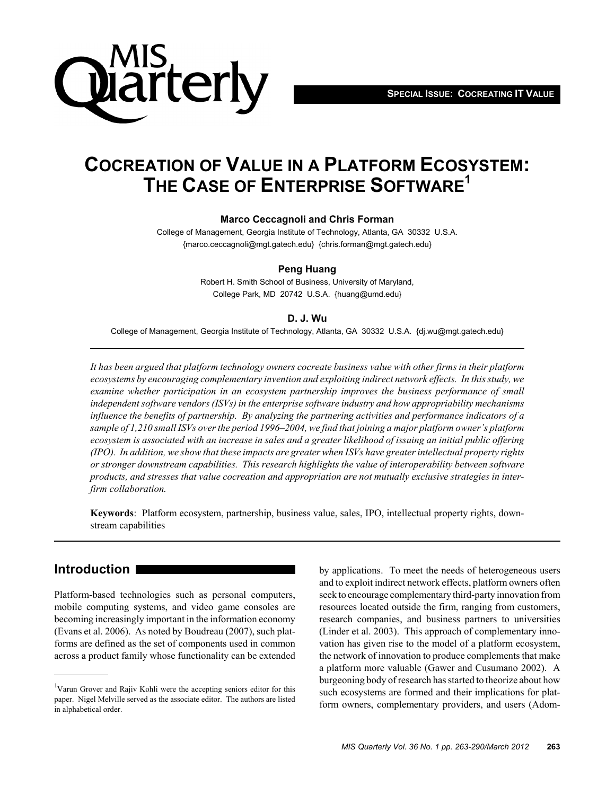**SPECIAL ISSUE: COCREATING IT VALUE**



## **COCREATION OF VALUE IN A PLATFORM ECOSYSTEM: THE CASE OF ENTERPRISE SOFTWARE1**

#### **Marco Ceccagnoli and Chris Forman**

College of Management, Georgia Institute of Technology, Atlanta, GA 30332 U.S.A. {marco.ceccagnoli@mgt.gatech.edu} {chris.forman@mgt.gatech.edu}

#### **Peng Huang**

Robert H. Smith School of Business, University of Maryland, College Park, MD 20742 U.S.A. {huang@umd.edu}

#### **D. J. Wu**

College of Management, Georgia Institute of Technology, Atlanta, GA 30332 U.S.A. {dj.wu@mgt.gatech.edu}

*It has been argued that platform technology owners cocreate business value with other firms in their platform ecosystems by encouraging complementary invention and exploiting indirect network effects. In this study, we examine whether participation in an ecosystem partnership improves the business performance of small independent software vendors (ISVs) in the enterprise software industry and how appropriability mechanisms influence the benefits of partnership. By analyzing the partnering activities and performance indicators of a sample of 1,210 small ISVs over the period 1996–2004, we find that joining a major platform owner's platform ecosystem is associated with an increase in sales and a greater likelihood of issuing an initial public offering (IPO). In addition, we show that these impacts are greater when ISVs have greater intellectual property rights or stronger downstream capabilities. This research highlights the value of interoperability between software products, and stresses that value cocreation and appropriation are not mutually exclusive strategies in interfirm collaboration.*

**Keywords**: Platform ecosystem, partnership, business value, sales, IPO, intellectual property rights, downstream capabilities

## **Introduction**

Platform-based technologies such as personal computers, mobile computing systems, and video game consoles are becoming increasingly important in the information economy (Evans et al. 2006). As noted by Boudreau (2007), such platforms are defined as the set of components used in common across a product family whose functionality can be extended by applications. To meet the needs of heterogeneous users and to exploit indirect network effects, platform owners often seek to encourage complementary third-party innovation from resources located outside the firm, ranging from customers, research companies, and business partners to universities (Linder et al. 2003). This approach of complementary innovation has given rise to the model of a platform ecosystem, the network of innovation to produce complements that make a platform more valuable (Gawer and Cusumano 2002). A burgeoning body of research has started to theorize about how such ecosystems are formed and their implications for platform owners, complementary providers, and users (Adom-

<sup>&</sup>lt;sup>1</sup>Varun Grover and Rajiv Kohli were the accepting seniors editor for this paper. Nigel Melville served as the associate editor. The authors are listed in alphabetical order.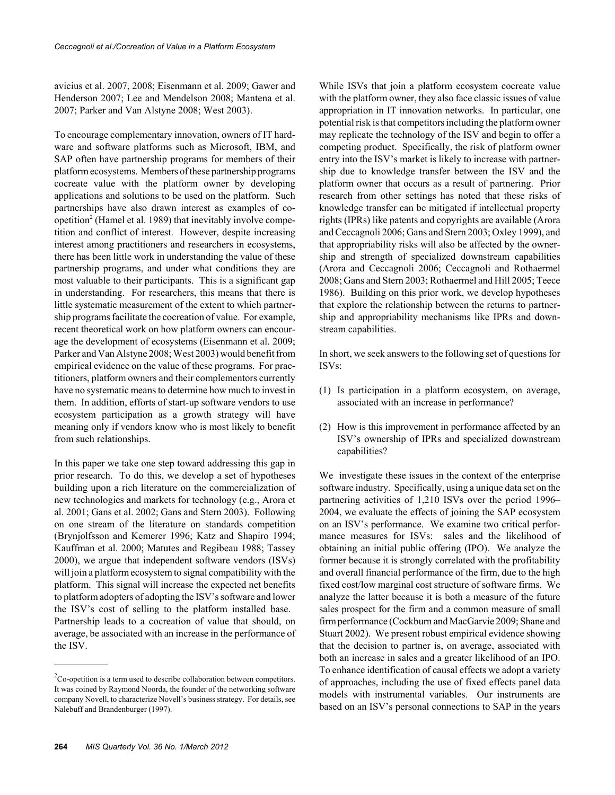avicius et al. 2007, 2008; Eisenmann et al. 2009; Gawer and Henderson 2007; Lee and Mendelson 2008; Mantena et al. 2007; Parker and Van Alstyne 2008; West 2003).

To encourage complementary innovation, owners of IT hardware and software platforms such as Microsoft, IBM, and SAP often have partnership programs for members of their platform ecosystems. Members of these partnership programs cocreate value with the platform owner by developing applications and solutions to be used on the platform. Such partnerships have also drawn interest as examples of coopetition<sup>2</sup> (Hamel et al. 1989) that inevitably involve competition and conflict of interest. However, despite increasing interest among practitioners and researchers in ecosystems, there has been little work in understanding the value of these partnership programs, and under what conditions they are most valuable to their participants. This is a significant gap in understanding. For researchers, this means that there is little systematic measurement of the extent to which partnership programs facilitate the cocreation of value. For example, recent theoretical work on how platform owners can encourage the development of ecosystems (Eisenmann et al. 2009; Parker and Van Alstyne 2008; West 2003) would benefit from empirical evidence on the value of these programs. For practitioners, platform owners and their complementors currently have no systematic means to determine how much to invest in them. In addition, efforts of start-up software vendors to use ecosystem participation as a growth strategy will have meaning only if vendors know who is most likely to benefit from such relationships.

In this paper we take one step toward addressing this gap in prior research. To do this, we develop a set of hypotheses building upon a rich literature on the commercialization of new technologies and markets for technology (e.g., Arora et al. 2001; Gans et al. 2002; Gans and Stern 2003). Following on one stream of the literature on standards competition (Brynjolfsson and Kemerer 1996; Katz and Shapiro 1994; Kauffman et al. 2000; Matutes and Regibeau 1988; Tassey 2000), we argue that independent software vendors (ISVs) will join a platform ecosystem to signal compatibility with the platform. This signal will increase the expected net benefits to platform adopters of adopting the ISV's software and lower the ISV's cost of selling to the platform installed base. Partnership leads to a cocreation of value that should, on average, be associated with an increase in the performance of the ISV.

While ISVs that join a platform ecosystem cocreate value with the platform owner, they also face classic issues of value appropriation in IT innovation networks. In particular, one potential risk is that competitors including the platform owner may replicate the technology of the ISV and begin to offer a competing product. Specifically, the risk of platform owner entry into the ISV's market is likely to increase with partnership due to knowledge transfer between the ISV and the platform owner that occurs as a result of partnering. Prior research from other settings has noted that these risks of knowledge transfer can be mitigated if intellectual property rights (IPRs) like patents and copyrights are available (Arora and Ceccagnoli 2006; Gans and Stern 2003; Oxley 1999), and that appropriability risks will also be affected by the ownership and strength of specialized downstream capabilities (Arora and Ceccagnoli 2006; Ceccagnoli and Rothaermel 2008; Gans and Stern 2003; Rothaermel and Hill 2005; Teece 1986). Building on this prior work, we develop hypotheses that explore the relationship between the returns to partnership and appropriability mechanisms like IPRs and downstream capabilities.

In short, we seek answers to the following set of questions for ISVs:

- (1) Is participation in a platform ecosystem, on average, associated with an increase in performance?
- (2) How is this improvement in performance affected by an ISV's ownership of IPRs and specialized downstream capabilities?

We investigate these issues in the context of the enterprise software industry. Specifically, using a unique data set on the partnering activities of 1,210 ISVs over the period 1996– 2004, we evaluate the effects of joining the SAP ecosystem on an ISV's performance. We examine two critical performance measures for ISVs: sales and the likelihood of obtaining an initial public offering (IPO). We analyze the former because it is strongly correlated with the profitability and overall financial performance of the firm, due to the high fixed cost/low marginal cost structure of software firms. We analyze the latter because it is both a measure of the future sales prospect for the firm and a common measure of small firm performance (Cockburn and MacGarvie 2009; Shane and Stuart 2002). We present robust empirical evidence showing that the decision to partner is, on average, associated with both an increase in sales and a greater likelihood of an IPO. To enhance identification of causal effects we adopt a variety of approaches, including the use of fixed effects panel data models with instrumental variables. Our instruments are based on an ISV's personal connections to SAP in the years

 ${}^{2}$ Co-opetition is a term used to describe collaboration between competitors. It was coined by Raymond Noorda, the founder of the networking software company Novell, to characterize Novell's business strategy. For details, see Nalebuff and Brandenburger (1997).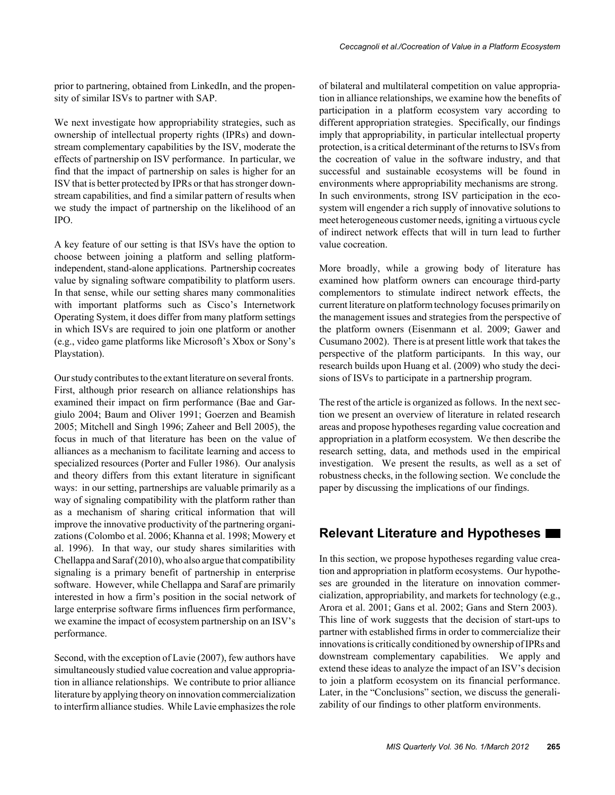prior to partnering, obtained from LinkedIn, and the propensity of similar ISVs to partner with SAP.

We next investigate how appropriability strategies, such as ownership of intellectual property rights (IPRs) and downstream complementary capabilities by the ISV, moderate the effects of partnership on ISV performance. In particular, we find that the impact of partnership on sales is higher for an ISV that is better protected by IPRs or that has stronger downstream capabilities, and find a similar pattern of results when we study the impact of partnership on the likelihood of an IPO.

A key feature of our setting is that ISVs have the option to choose between joining a platform and selling platformindependent, stand-alone applications. Partnership cocreates value by signaling software compatibility to platform users. In that sense, while our setting shares many commonalities with important platforms such as Cisco's Internetwork Operating System, it does differ from many platform settings in which ISVs are required to join one platform or another (e.g., video game platforms like Microsoft's Xbox or Sony's Playstation).

Our study contributes to the extant literature on several fronts. First, although prior research on alliance relationships has examined their impact on firm performance (Bae and Gargiulo 2004; Baum and Oliver 1991; Goerzen and Beamish 2005; Mitchell and Singh 1996; Zaheer and Bell 2005), the focus in much of that literature has been on the value of alliances as a mechanism to facilitate learning and access to specialized resources (Porter and Fuller 1986). Our analysis and theory differs from this extant literature in significant ways: in our setting, partnerships are valuable primarily as a way of signaling compatibility with the platform rather than as a mechanism of sharing critical information that will improve the innovative productivity of the partnering organizations (Colombo et al. 2006; Khanna et al. 1998; Mowery et al. 1996). In that way, our study shares similarities with Chellappa and Saraf (2010), who also argue that compatibility signaling is a primary benefit of partnership in enterprise software. However, while Chellappa and Saraf are primarily interested in how a firm's position in the social network of large enterprise software firms influences firm performance, we examine the impact of ecosystem partnership on an ISV's performance.

Second, with the exception of Lavie (2007), few authors have simultaneously studied value cocreation and value appropriation in alliance relationships. We contribute to prior alliance literature by applying theory on innovation commercialization to interfirm alliance studies. While Lavie emphasizes the role of bilateral and multilateral competition on value appropriation in alliance relationships, we examine how the benefits of participation in a platform ecosystem vary according to different appropriation strategies. Specifically, our findings imply that appropriability, in particular intellectual property protection, is a critical determinant of the returns to ISVs from the cocreation of value in the software industry, and that successful and sustainable ecosystems will be found in environments where appropriability mechanisms are strong. In such environments, strong ISV participation in the ecosystem will engender a rich supply of innovative solutions to meet heterogeneous customer needs, igniting a virtuous cycle of indirect network effects that will in turn lead to further value cocreation.

More broadly, while a growing body of literature has examined how platform owners can encourage third-party complementors to stimulate indirect network effects, the current literature on platform technology focuses primarily on the management issues and strategies from the perspective of the platform owners (Eisenmann et al. 2009; Gawer and Cusumano 2002). There is at present little work that takes the perspective of the platform participants. In this way, our research builds upon Huang et al. (2009) who study the decisions of ISVs to participate in a partnership program.

The rest of the article is organized as follows. In the next section we present an overview of literature in related research areas and propose hypotheses regarding value cocreation and appropriation in a platform ecosystem. We then describe the research setting, data, and methods used in the empirical investigation. We present the results, as well as a set of robustness checks, in the following section. We conclude the paper by discussing the implications of our findings.

## **Relevant Literature and Hypotheses**

In this section, we propose hypotheses regarding value creation and appropriation in platform ecosystems. Our hypotheses are grounded in the literature on innovation commercialization, appropriability, and markets for technology (e.g., Arora et al. 2001; Gans et al. 2002; Gans and Stern 2003). This line of work suggests that the decision of start-ups to partner with established firms in order to commercialize their innovations is critically conditioned by ownership of IPRs and downstream complementary capabilities. We apply and extend these ideas to analyze the impact of an ISV's decision to join a platform ecosystem on its financial performance. Later, in the "Conclusions" section, we discuss the generalizability of our findings to other platform environments.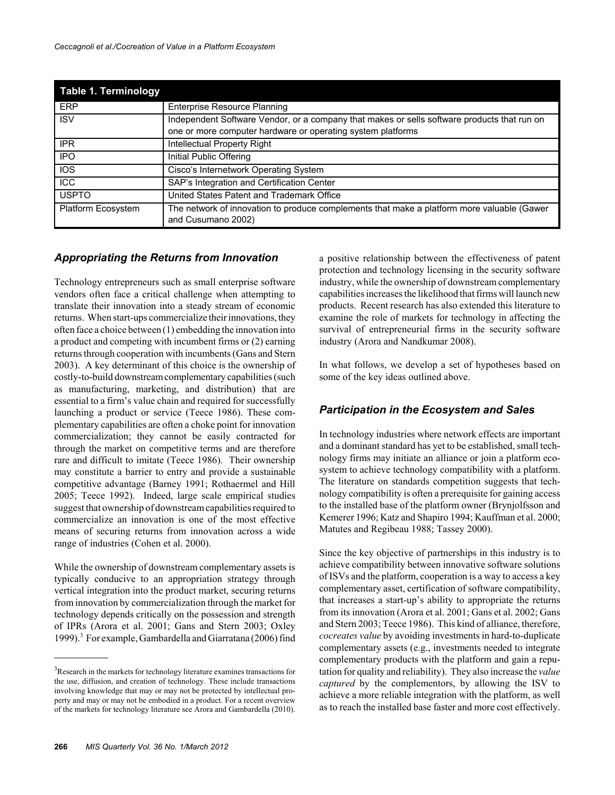| <b>Table 1. Terminology</b> |                                                                                                                  |
|-----------------------------|------------------------------------------------------------------------------------------------------------------|
| <b>ERP</b>                  | <b>Enterprise Resource Planning</b>                                                                              |
| <b>ISV</b>                  | Independent Software Vendor, or a company that makes or sells software products that run on                      |
|                             | one or more computer hardware or operating system platforms                                                      |
| <b>IPR</b>                  | Intellectual Property Right                                                                                      |
| <b>IPO</b>                  | Initial Public Offering                                                                                          |
| <b>IOS</b>                  | Cisco's Internetwork Operating System                                                                            |
| <b>ICC</b>                  | SAP's Integration and Certification Center                                                                       |
| <b>USPTO</b>                | United States Patent and Trademark Office                                                                        |
| Platform Ecosystem          | The network of innovation to produce complements that make a platform more valuable (Gawer<br>and Cusumano 2002) |

#### *Appropriating the Returns from Innovation*

Technology entrepreneurs such as small enterprise software vendors often face a critical challenge when attempting to translate their innovation into a steady stream of economic returns. When start-ups commercialize their innovations, they often face a choice between (1) embedding the innovation into a product and competing with incumbent firms or (2) earning returns through cooperation with incumbents (Gans and Stern 2003). A key determinant of this choice is the ownership of costly-to-build downstream complementary capabilities (such as manufacturing, marketing, and distribution) that are essential to a firm's value chain and required for successfully launching a product or service (Teece 1986). These complementary capabilities are often a choke point for innovation commercialization; they cannot be easily contracted for through the market on competitive terms and are therefore rare and difficult to imitate (Teece 1986). Their ownership may constitute a barrier to entry and provide a sustainable competitive advantage (Barney 1991; Rothaermel and Hill 2005; Teece 1992). Indeed, large scale empirical studies suggest that ownership of downstream capabilities required to commercialize an innovation is one of the most effective means of securing returns from innovation across a wide range of industries (Cohen et al. 2000).

While the ownership of downstream complementary assets is typically conducive to an appropriation strategy through vertical integration into the product market, securing returns from innovation by commercialization through the market for technology depends critically on the possession and strength of IPRs (Arora et al. 2001; Gans and Stern 2003; Oxley 1999).<sup>3</sup> For example, Gambardella and Giarratana (2006) find

a positive relationship between the effectiveness of patent protection and technology licensing in the security software industry, while the ownership of downstream complementary capabilities increases the likelihood that firms will launch new products. Recent research has also extended this literature to examine the role of markets for technology in affecting the survival of entrepreneurial firms in the security software industry (Arora and Nandkumar 2008).

In what follows, we develop a set of hypotheses based on some of the key ideas outlined above.

## *Participation in the Ecosystem and Sales*

In technology industries where network effects are important and a dominant standard has yet to be established, small technology firms may initiate an alliance or join a platform ecosystem to achieve technology compatibility with a platform. The literature on standards competition suggests that technology compatibility is often a prerequisite for gaining access to the installed base of the platform owner (Brynjolfsson and Kemerer 1996; Katz and Shapiro 1994; Kauffman et al. 2000; Matutes and Regibeau 1988; Tassey 2000).

Since the key objective of partnerships in this industry is to achieve compatibility between innovative software solutions of ISVs and the platform, cooperation is a way to access a key complementary asset, certification of software compatibility, that increases a start-up's ability to appropriate the returns from its innovation (Arora et al. 2001; Gans et al. 2002; Gans and Stern 2003; Teece 1986). This kind of alliance, therefore, *cocreates value* by avoiding investments in hard-to-duplicate complementary assets (e.g., investments needed to integrate complementary products with the platform and gain a reputation for quality and reliability). They also increase the *value captured* by the complementors, by allowing the ISV to achieve a more reliable integration with the platform, as well as to reach the installed base faster and more cost effectively.

 $3$ Research in the markets for technology literature examines transactions for the use, diffusion, and creation of technology. These include transactions involving knowledge that may or may not be protected by intellectual property and may or may not be embodied in a product. For a recent overview of the markets for technology literature see Arora and Gambardella (2010).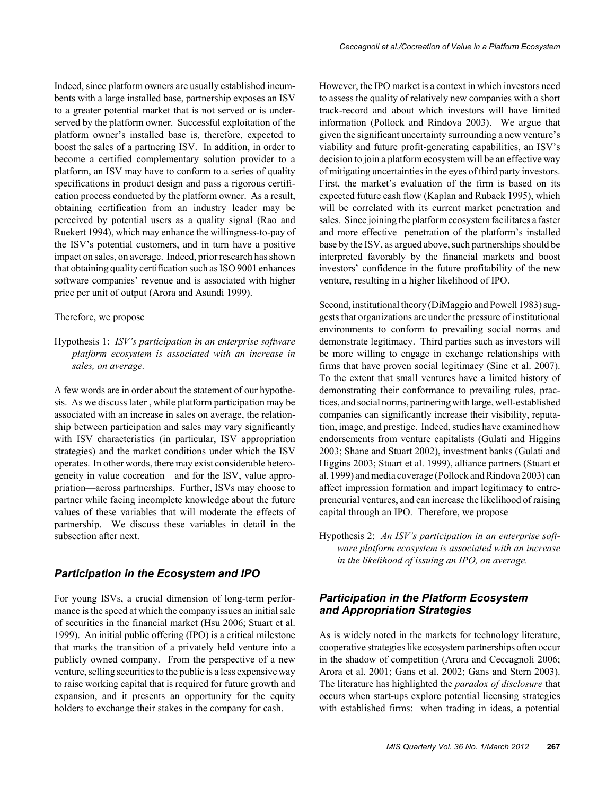Indeed, since platform owners are usually established incumbents with a large installed base, partnership exposes an ISV to a greater potential market that is not served or is underserved by the platform owner. Successful exploitation of the platform owner's installed base is, therefore, expected to boost the sales of a partnering ISV. In addition, in order to become a certified complementary solution provider to a platform, an ISV may have to conform to a series of quality specifications in product design and pass a rigorous certification process conducted by the platform owner. As a result, obtaining certification from an industry leader may be perceived by potential users as a quality signal (Rao and Ruekert 1994), which may enhance the willingness-to-pay of the ISV's potential customers, and in turn have a positive impact on sales, on average. Indeed, prior research has shown that obtaining quality certification such as ISO 9001 enhances software companies' revenue and is associated with higher

#### Therefore, we propose

Hypothesis 1: *ISV's participation in an enterprise software platform ecosystem is associated with an increase in sales, on average.*

price per unit of output (Arora and Asundi 1999).

A few words are in order about the statement of our hypothesis. As we discuss later , while platform participation may be associated with an increase in sales on average, the relationship between participation and sales may vary significantly with ISV characteristics (in particular, ISV appropriation strategies) and the market conditions under which the ISV operates. In other words, there may exist considerable heterogeneity in value cocreation—and for the ISV, value appropriation—across partnerships. Further, ISVs may choose to partner while facing incomplete knowledge about the future values of these variables that will moderate the effects of partnership. We discuss these variables in detail in the subsection after next.

## *Participation in the Ecosystem and IPO*

For young ISVs, a crucial dimension of long-term performance is the speed at which the company issues an initial sale of securities in the financial market (Hsu 2006; Stuart et al. 1999). An initial public offering (IPO) is a critical milestone that marks the transition of a privately held venture into a publicly owned company. From the perspective of a new venture, selling securities to the public is a less expensive way to raise working capital that is required for future growth and expansion, and it presents an opportunity for the equity holders to exchange their stakes in the company for cash.

However, the IPO market is a context in which investors need to assess the quality of relatively new companies with a short track-record and about which investors will have limited information (Pollock and Rindova 2003). We argue that given the significant uncertainty surrounding a new venture's viability and future profit-generating capabilities, an ISV's decision to join a platform ecosystem will be an effective way of mitigating uncertainties in the eyes of third party investors. First, the market's evaluation of the firm is based on its expected future cash flow (Kaplan and Ruback 1995), which will be correlated with its current market penetration and sales. Since joining the platform ecosystem facilitates a faster and more effective penetration of the platform's installed base by the ISV, as argued above, such partnerships should be interpreted favorably by the financial markets and boost investors' confidence in the future profitability of the new venture, resulting in a higher likelihood of IPO.

Second, institutional theory (DiMaggio and Powell 1983) suggests that organizations are under the pressure of institutional environments to conform to prevailing social norms and demonstrate legitimacy. Third parties such as investors will be more willing to engage in exchange relationships with firms that have proven social legitimacy (Sine et al. 2007). To the extent that small ventures have a limited history of demonstrating their conformance to prevailing rules, practices, and social norms, partnering with large, well-established companies can significantly increase their visibility, reputation, image, and prestige. Indeed, studies have examined how endorsements from venture capitalists (Gulati and Higgins 2003; Shane and Stuart 2002), investment banks (Gulati and Higgins 2003; Stuart et al. 1999), alliance partners (Stuart et al. 1999) and media coverage (Pollock and Rindova 2003) can affect impression formation and impart legitimacy to entrepreneurial ventures, and can increase the likelihood of raising capital through an IPO. Therefore, we propose

Hypothesis 2: *An ISV's participation in an enterprise software platform ecosystem is associated with an increase in the likelihood of issuing an IPO, on average.*

#### *Participation in the Platform Ecosystem and Appropriation Strategies*

As is widely noted in the markets for technology literature, cooperative strategies like ecosystem partnerships often occur in the shadow of competition (Arora and Ceccagnoli 2006; Arora et al. 2001; Gans et al. 2002; Gans and Stern 2003). The literature has highlighted the *paradox of disclosure* that occurs when start-ups explore potential licensing strategies with established firms: when trading in ideas, a potential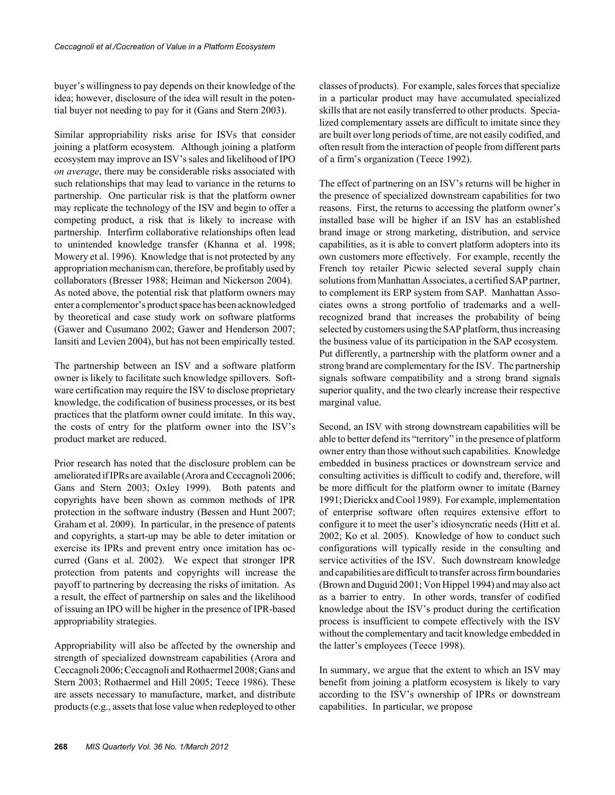buyer's willingness to pay depends on their knowledge of the idea; however, disclosure of the idea will result in the potential buyer not needing to pay for it (Gans and Stern 2003).

Similar appropriability risks arise for ISVs that consider joining a platform ecosystem. Although joining a platform ecosystem may improve an ISV's sales and likelihood of IPO *on average*, there may be considerable risks associated with such relationships that may lead to variance in the returns to partnership. One particular risk is that the platform owner may replicate the technology of the ISV and begin to offer a competing product, a risk that is likely to increase with partnership. Interfirm collaborative relationships often lead to unintended knowledge transfer (Khanna et al. 1998; Mowery et al. 1996). Knowledge that is not protected by any appropriation mechanism can, therefore, be profitably used by collaborators (Bresser 1988; Heiman and Nickerson 2004). As noted above, the potential risk that platform owners may enter a complementor's product space has been acknowledged by theoretical and case study work on software platforms (Gawer and Cusumano 2002; Gawer and Henderson 2007; Iansiti and Levien 2004), but has not been empirically tested.

The partnership between an ISV and a software platform owner is likely to facilitate such knowledge spillovers. Software certification may require the ISV to disclose proprietary knowledge, the codification of business processes, or its best practices that the platform owner could imitate. In this way, the costs of entry for the platform owner into the ISV's product market are reduced.

Prior research has noted that the disclosure problem can be ameliorated if IPRs are available (Arora and Ceccagnoli 2006; Gans and Stern 2003; Oxley 1999). Both patents and copyrights have been shown as common methods of IPR protection in the software industry (Bessen and Hunt 2007; Graham et al. 2009). In particular, in the presence of patents and copyrights, a start-up may be able to deter imitation or exercise its IPRs and prevent entry once imitation has occurred (Gans et al. 2002). We expect that stronger IPR protection from patents and copyrights will increase the payoff to partnering by decreasing the risks of imitation. As a result, the effect of partnership on sales and the likelihood of issuing an IPO will be higher in the presence of IPR-based appropriability strategies.

Appropriability will also be affected by the ownership and strength of specialized downstream capabilities (Arora and Ceccagnoli 2006; Ceccagnoli and Rothaermel 2008; Gans and Stern 2003; Rothaermel and Hill 2005; Teece 1986). These are assets necessary to manufacture, market, and distribute products (e.g., assets that lose value when redeployed to other

classes of products). For example, sales forces that specialize in a particular product may have accumulated specialized skills that are not easily transferred to other products. Specialized complementary assets are difficult to imitate since they are built over long periods of time, are not easily codified, and often result from the interaction of people from different parts of a firm's organization (Teece 1992).

The effect of partnering on an ISV's returns will be higher in the presence of specialized downstream capabilities for two reasons. First, the returns to accessing the platform owner's installed base will be higher if an ISV has an established brand image or strong marketing, distribution, and service capabilities, as it is able to convert platform adopters into its own customers more effectively. For example, recently the French toy retailer Picwic selected several supply chain solutions from Manhattan Associates, a certified SAP partner, to complement its ERP system from SAP. Manhattan Associates owns a strong portfolio of trademarks and a wellrecognized brand that increases the probability of being selected by customers using the SAP platform, thus increasing the business value of its participation in the SAP ecosystem. Put differently, a partnership with the platform owner and a strong brand are complementary for the ISV. The partnership signals software compatibility and a strong brand signals superior quality, and the two clearly increase their respective marginal value.

Second, an ISV with strong downstream capabilities will be able to better defend its "territory" in the presence of platform owner entry than those without such capabilities. Knowledge embedded in business practices or downstream service and consulting activities is difficult to codify and, therefore, will be more difficult for the platform owner to imitate (Barney 1991; Dierickx and Cool 1989). For example, implementation of enterprise software often requires extensive effort to configure it to meet the user's idiosyncratic needs (Hitt et al. 2002; Ko et al. 2005). Knowledge of how to conduct such configurations will typically reside in the consulting and service activities of the ISV. Such downstream knowledge and capabilities are difficult to transfer across firm boundaries (Brown and Duguid 2001; Von Hippel 1994) and may also act as a barrier to entry. In other words, transfer of codified knowledge about the ISV's product during the certification process is insufficient to compete effectively with the ISV without the complementary and tacit knowledge embedded in the latter's employees (Teece 1998).

In summary, we argue that the extent to which an ISV may benefit from joining a platform ecosystem is likely to vary according to the ISV's ownership of IPRs or downstream capabilities. In particular, we propose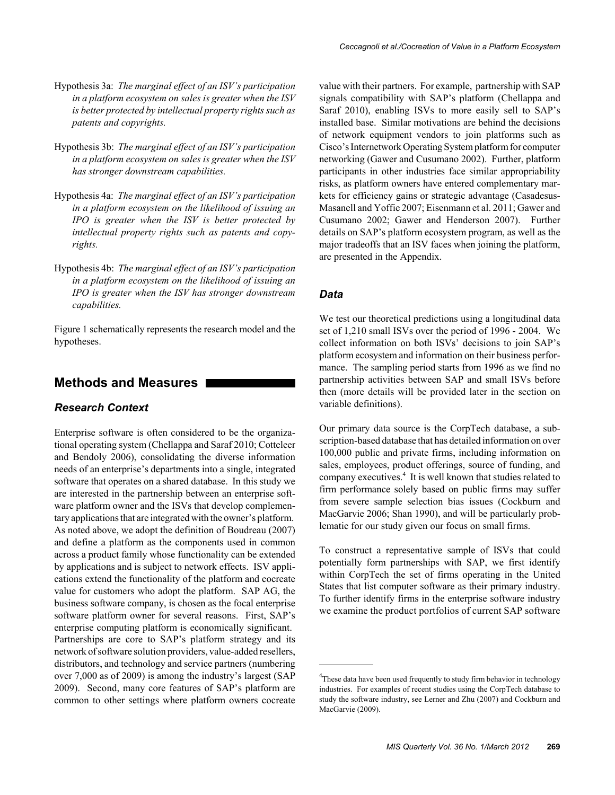- Hypothesis 3a: *The marginal effect of an ISV's participation in a platform ecosystem on sales is greater when the ISV is better protected by intellectual property rights such as patents and copyrights.*
- Hypothesis 3b: *The marginal effect of an ISV's participation in a platform ecosystem on sales is greater when the ISV has stronger downstream capabilities.*
- Hypothesis 4a: *The marginal effect of an ISV's participation in a platform ecosystem on the likelihood of issuing an IPO is greater when the ISV is better protected by intellectual property rights such as patents and copyrights.*
- Hypothesis 4b: *The marginal effect of an ISV's participation in a platform ecosystem on the likelihood of issuing an IPO is greater when the ISV has stronger downstream capabilities.*

Figure 1 schematically represents the research model and the hypotheses.

## **Methods and Measures**

#### *Research Context*

Enterprise software is often considered to be the organizational operating system (Chellappa and Saraf 2010; Cotteleer and Bendoly 2006), consolidating the diverse information needs of an enterprise's departments into a single, integrated software that operates on a shared database. In this study we are interested in the partnership between an enterprise software platform owner and the ISVs that develop complementary applications that are integrated with the owner's platform. As noted above, we adopt the definition of Boudreau (2007) and define a platform as the components used in common across a product family whose functionality can be extended by applications and is subject to network effects. ISV applications extend the functionality of the platform and cocreate value for customers who adopt the platform. SAP AG, the business software company, is chosen as the focal enterprise software platform owner for several reasons. First, SAP's enterprise computing platform is economically significant. Partnerships are core to SAP's platform strategy and its network of software solution providers, value-added resellers, distributors, and technology and service partners (numbering over 7,000 as of 2009) is among the industry's largest (SAP 2009). Second, many core features of SAP's platform are common to other settings where platform owners cocreate

value with their partners. For example, partnership with SAP signals compatibility with SAP's platform (Chellappa and Saraf 2010), enabling ISVs to more easily sell to SAP's installed base. Similar motivations are behind the decisions of network equipment vendors to join platforms such as Cisco's Internetwork Operating System platform for computer networking (Gawer and Cusumano 2002). Further, platform participants in other industries face similar appropriability risks, as platform owners have entered complementary markets for efficiency gains or strategic advantage (Casadesus-Masanell and Yoffie 2007; Eisenmann et al. 2011; Gawer and Cusumano 2002; Gawer and Henderson 2007). Further details on SAP's platform ecosystem program, as well as the major tradeoffs that an ISV faces when joining the platform, are presented in the Appendix.

#### *Data*

We test our theoretical predictions using a longitudinal data set of 1,210 small ISVs over the period of 1996 - 2004. We collect information on both ISVs' decisions to join SAP's platform ecosystem and information on their business performance. The sampling period starts from 1996 as we find no partnership activities between SAP and small ISVs before then (more details will be provided later in the section on variable definitions).

Our primary data source is the CorpTech database, a subscription-based database that has detailed information on over 100,000 public and private firms, including information on sales, employees, product offerings, source of funding, and company executives.<sup>4</sup> It is well known that studies related to firm performance solely based on public firms may suffer from severe sample selection bias issues (Cockburn and MacGarvie 2006; Shan 1990), and will be particularly problematic for our study given our focus on small firms.

To construct a representative sample of ISVs that could potentially form partnerships with SAP, we first identify within CorpTech the set of firms operating in the United States that list computer software as their primary industry. To further identify firms in the enterprise software industry we examine the product portfolios of current SAP software

<sup>&</sup>lt;sup>4</sup>These data have been used frequently to study firm behavior in technology industries. For examples of recent studies using the CorpTech database to study the software industry, see Lerner and Zhu (2007) and Cockburn and MacGarvie (2009).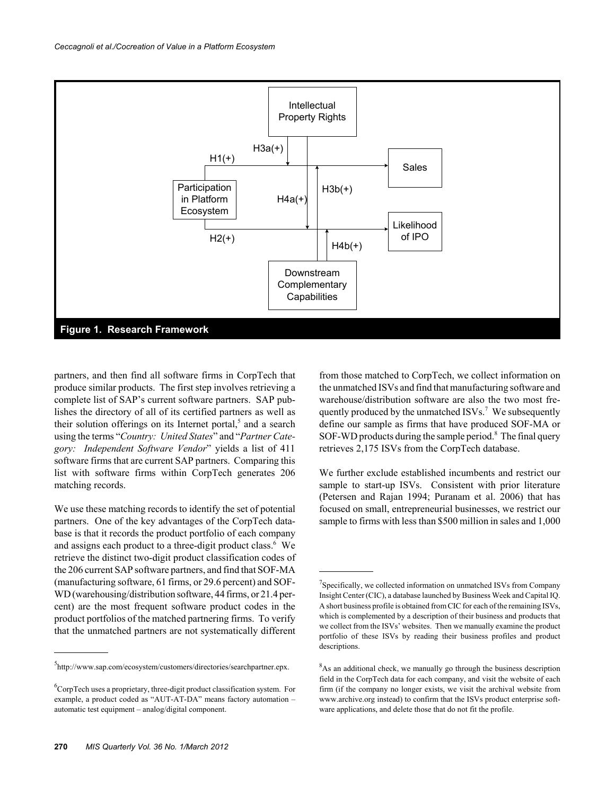

partners, and then find all software firms in CorpTech that produce similar products. The first step involves retrieving a complete list of SAP's current software partners. SAP publishes the directory of all of its certified partners as well as their solution offerings on its Internet portal,<sup>5</sup> and a search using the terms "*Country: United States*" and "*Partner Category: Independent Software Vendor*" yields a list of 411 software firms that are current SAP partners. Comparing this list with software firms within CorpTech generates 206 matching records.

We use these matching records to identify the set of potential partners. One of the key advantages of the CorpTech database is that it records the product portfolio of each company and assigns each product to a three-digit product class.<sup>6</sup> We retrieve the distinct two-digit product classification codes of the 206 current SAP software partners, and find that SOF-MA (manufacturing software, 61 firms, or 29.6 percent) and SOF-WD (warehousing/distribution software, 44 firms, or 21.4 percent) are the most frequent software product codes in the product portfolios of the matched partnering firms. To verify that the unmatched partners are not systematically different

from those matched to CorpTech, we collect information on the unmatched ISVs and find that manufacturing software and warehouse/distribution software are also the two most frequently produced by the unmatched ISVs.<sup>7</sup> We subsequently define our sample as firms that have produced SOF-MA or SOF-WD products during the sample period.<sup>8</sup> The final query retrieves 2,175 ISVs from the CorpTech database.

We further exclude established incumbents and restrict our sample to start-up ISVs. Consistent with prior literature (Petersen and Rajan 1994; Puranam et al. 2006) that has focused on small, entrepreneurial businesses, we restrict our sample to firms with less than \$500 million in sales and 1,000

<sup>5</sup> http://www.sap.com/ecosystem/customers/directories/searchpartner.epx.

 ${}^{6}$ CorpTech uses a proprietary, three-digit product classification system. For example, a product coded as "AUT-AT-DA" means factory automation – automatic test equipment – analog/digital component.

 $7$ Specifically, we collected information on unmatched ISVs from Company Insight Center (CIC), a database launched by Business Week and Capital IQ. A short business profile is obtained from CIC for each of the remaining ISVs, which is complemented by a description of their business and products that we collect from the ISVs' websites. Then we manually examine the product portfolio of these ISVs by reading their business profiles and product descriptions.

 $8$ As an additional check, we manually go through the business description field in the CorpTech data for each company, and visit the website of each firm (if the company no longer exists, we visit the archival website from www.archive.org instead) to confirm that the ISVs product enterprise software applications, and delete those that do not fit the profile.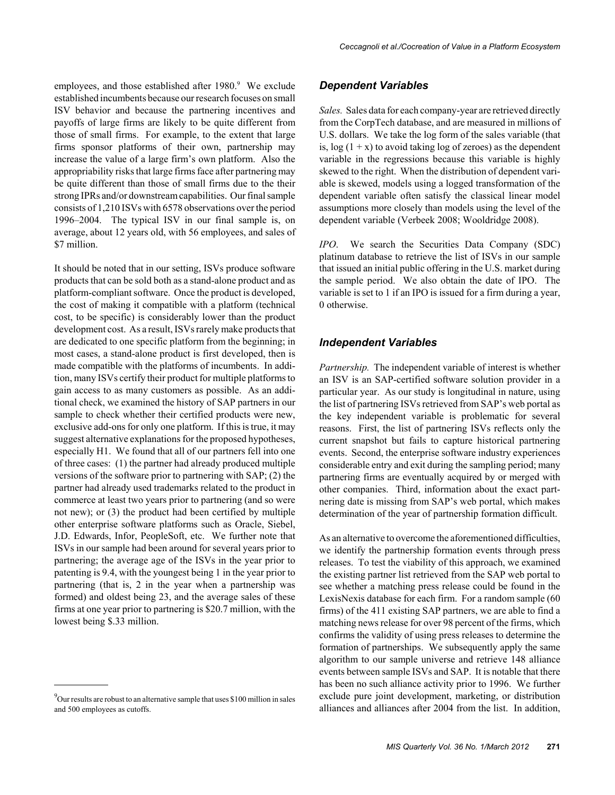employees, and those established after 1980.<sup>9</sup> We exclude established incumbents because our research focuses on small ISV behavior and because the partnering incentives and payoffs of large firms are likely to be quite different from those of small firms. For example, to the extent that large firms sponsor platforms of their own, partnership may increase the value of a large firm's own platform. Also the appropriability risks that large firms face after partnering may be quite different than those of small firms due to the their strong IPRs and/or downstream capabilities. Our final sample consists of 1,210 ISVs with 6578 observations over the period 1996–2004. The typical ISV in our final sample is, on average, about 12 years old, with 56 employees, and sales of \$7 million.

It should be noted that in our setting, ISVs produce software products that can be sold both as a stand-alone product and as platform-compliant software. Once the product is developed, the cost of making it compatible with a platform (technical cost, to be specific) is considerably lower than the product development cost. As a result, ISVs rarely make products that are dedicated to one specific platform from the beginning; in most cases, a stand-alone product is first developed, then is made compatible with the platforms of incumbents. In addition, many ISVs certify their product for multiple platforms to gain access to as many customers as possible. As an additional check, we examined the history of SAP partners in our sample to check whether their certified products were new, exclusive add-ons for only one platform. If this is true, it may suggest alternative explanations for the proposed hypotheses, especially H1. We found that all of our partners fell into one of three cases: (1) the partner had already produced multiple versions of the software prior to partnering with SAP; (2) the partner had already used trademarks related to the product in commerce at least two years prior to partnering (and so were not new); or (3) the product had been certified by multiple other enterprise software platforms such as Oracle, Siebel, J.D. Edwards, Infor, PeopleSoft, etc. We further note that ISVs in our sample had been around for several years prior to partnering; the average age of the ISVs in the year prior to patenting is 9.4, with the youngest being 1 in the year prior to partnering (that is, 2 in the year when a partnership was formed) and oldest being 23, and the average sales of these firms at one year prior to partnering is \$20.7 million, with the lowest being \$.33 million.

#### *Dependent Variables*

*Sales.* Sales data for each company-year are retrieved directly from the CorpTech database, and are measured in millions of U.S. dollars. We take the log form of the sales variable (that is,  $log(1 + x)$  to avoid taking  $log$  of zeroes) as the dependent variable in the regressions because this variable is highly skewed to the right. When the distribution of dependent variable is skewed, models using a logged transformation of the dependent variable often satisfy the classical linear model assumptions more closely than models using the level of the dependent variable (Verbeek 2008; Wooldridge 2008).

*IPO*. We search the Securities Data Company (SDC) platinum database to retrieve the list of ISVs in our sample that issued an initial public offering in the U.S. market during the sample period. We also obtain the date of IPO. The variable is set to 1 if an IPO is issued for a firm during a year, 0 otherwise.

#### *Independent Variables*

*Partnership.* The independent variable of interest is whether an ISV is an SAP-certified software solution provider in a particular year. As our study is longitudinal in nature, using the list of partnering ISVs retrieved from SAP's web portal as the key independent variable is problematic for several reasons. First, the list of partnering ISVs reflects only the current snapshot but fails to capture historical partnering events. Second, the enterprise software industry experiences considerable entry and exit during the sampling period; many partnering firms are eventually acquired by or merged with other companies. Third, information about the exact partnering date is missing from SAP's web portal, which makes determination of the year of partnership formation difficult.

As an alternative to overcome the aforementioned difficulties, we identify the partnership formation events through press releases. To test the viability of this approach, we examined the existing partner list retrieved from the SAP web portal to see whether a matching press release could be found in the LexisNexis database for each firm. For a random sample (60 firms) of the 411 existing SAP partners, we are able to find a matching news release for over 98 percent of the firms, which confirms the validity of using press releases to determine the formation of partnerships. We subsequently apply the same algorithm to our sample universe and retrieve 148 alliance events between sample ISVs and SAP. It is notable that there has been no such alliance activity prior to 1996. We further exclude pure joint development, marketing, or distribution alliances and alliances after 2004 from the list. In addition,

 $^{9}$ Our results are robust to an alternative sample that uses \$100 million in sales and 500 employees as cutoffs.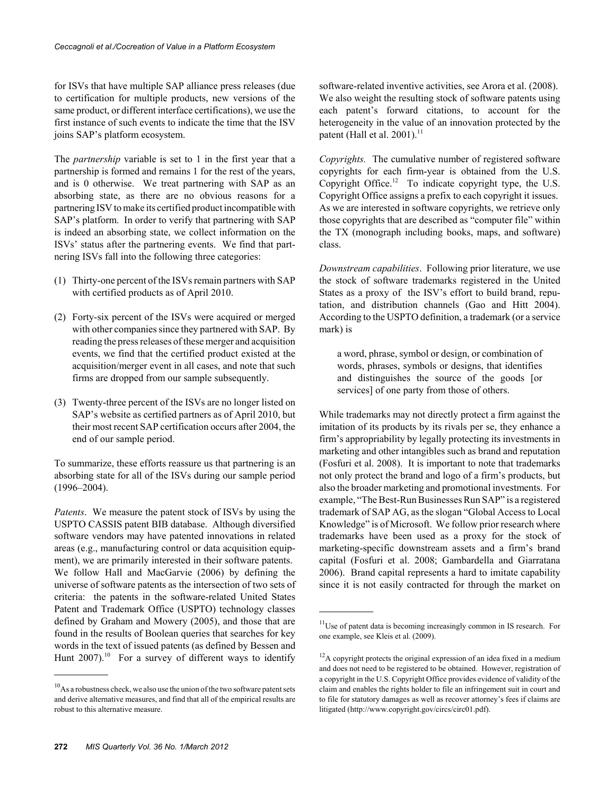for ISVs that have multiple SAP alliance press releases (due to certification for multiple products, new versions of the same product, or different interface certifications), we use the first instance of such events to indicate the time that the ISV joins SAP's platform ecosystem.

The *partnership* variable is set to 1 in the first year that a partnership is formed and remains 1 for the rest of the years, and is 0 otherwise. We treat partnering with SAP as an absorbing state, as there are no obvious reasons for a partnering ISV to make its certified product incompatible with SAP's platform. In order to verify that partnering with SAP is indeed an absorbing state, we collect information on the ISVs' status after the partnering events. We find that partnering ISVs fall into the following three categories:

- (1) Thirty-one percent of the ISVs remain partners with SAP with certified products as of April 2010.
- (2) Forty-six percent of the ISVs were acquired or merged with other companies since they partnered with SAP. By reading the press releases of these merger and acquisition events, we find that the certified product existed at the acquisition/merger event in all cases, and note that such firms are dropped from our sample subsequently.
- (3) Twenty-three percent of the ISVs are no longer listed on SAP's website as certified partners as of April 2010, but their most recent SAP certification occurs after 2004, the end of our sample period.

To summarize, these efforts reassure us that partnering is an absorbing state for all of the ISVs during our sample period (1996–2004).

*Patents*. We measure the patent stock of ISVs by using the USPTO CASSIS patent BIB database. Although diversified software vendors may have patented innovations in related areas (e.g., manufacturing control or data acquisition equipment), we are primarily interested in their software patents. We follow Hall and MacGarvie (2006) by defining the universe of software patents as the intersection of two sets of criteria: the patents in the software-related United States Patent and Trademark Office (USPTO) technology classes defined by Graham and Mowery (2005), and those that are found in the results of Boolean queries that searches for key words in the text of issued patents (as defined by Bessen and Hunt  $2007$ ).<sup>10</sup> For a survey of different ways to identify

software-related inventive activities, see Arora et al. (2008). We also weight the resulting stock of software patents using each patent's forward citations, to account for the heterogeneity in the value of an innovation protected by the patent (Hall et al.  $2001$ ).<sup>11</sup>

*Copyrights.* The cumulative number of registered software copyrights for each firm-year is obtained from the U.S. Copyright Office.<sup>12</sup> To indicate copyright type, the U.S. Copyright Office assigns a prefix to each copyright it issues. As we are interested in software copyrights, we retrieve only those copyrights that are described as "computer file" within the TX (monograph including books, maps, and software) class.

*Downstream capabilities*. Following prior literature, we use the stock of software trademarks registered in the United States as a proxy of the ISV's effort to build brand, reputation, and distribution channels (Gao and Hitt 2004). According to the USPTO definition, a trademark (or a service mark) is

a word, phrase, symbol or design, or combination of words, phrases, symbols or designs, that identifies and distinguishes the source of the goods [or services] of one party from those of others.

While trademarks may not directly protect a firm against the imitation of its products by its rivals per se, they enhance a firm's appropriability by legally protecting its investments in marketing and other intangibles such as brand and reputation (Fosfuri et al. 2008). It is important to note that trademarks not only protect the brand and logo of a firm's products, but also the broader marketing and promotional investments. For example, "The Best-Run Businesses Run SAP" is a registered trademark of SAP AG, as the slogan "Global Access to Local Knowledge" is of Microsoft. We follow prior research where trademarks have been used as a proxy for the stock of marketing-specific downstream assets and a firm's brand capital (Fosfuri et al. 2008; Gambardella and Giarratana 2006). Brand capital represents a hard to imitate capability since it is not easily contracted for through the market on

 $10<sup>10</sup>$ As a robustness check, we also use the union of the two software patent sets and derive alternative measures, and find that all of the empirical results are robust to this alternative measure.

 $11$ Use of patent data is becoming increasingly common in IS research. For one example, see Kleis et al. (2009).

 $12A$  copyright protects the original expression of an idea fixed in a medium and does not need to be registered to be obtained. However, registration of a copyright in the U.S. Copyright Office provides evidence of validity of the claim and enables the rights holder to file an infringement suit in court and to file for statutory damages as well as recover attorney's fees if claims are litigated (http://www.copyright.gov/circs/circ01.pdf).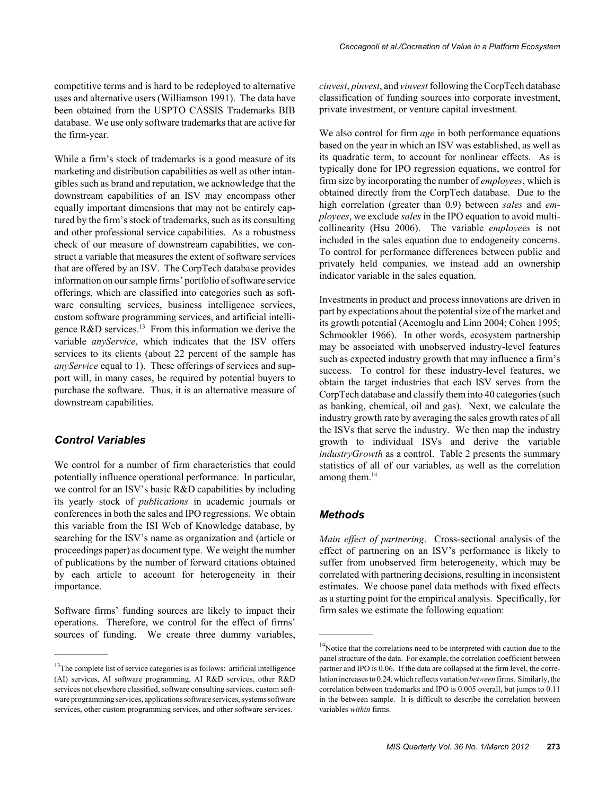competitive terms and is hard to be redeployed to alternative uses and alternative users (Williamson 1991). The data have been obtained from the USPTO CASSIS Trademarks BIB database. We use only software trademarks that are active for the firm-year.

While a firm's stock of trademarks is a good measure of its marketing and distribution capabilities as well as other intangibles such as brand and reputation, we acknowledge that the downstream capabilities of an ISV may encompass other equally important dimensions that may not be entirely captured by the firm's stock of trademarks, such as its consulting and other professional service capabilities. As a robustness check of our measure of downstream capabilities, we construct a variable that measures the extent of software services that are offered by an ISV. The CorpTech database provides information on our sample firms' portfolio of software service offerings, which are classified into categories such as software consulting services, business intelligence services, custom software programming services, and artificial intelligence R&D services.<sup>13</sup> From this information we derive the variable *anyService*, which indicates that the ISV offers services to its clients (about 22 percent of the sample has *anyService* equal to 1). These offerings of services and support will, in many cases, be required by potential buyers to purchase the software. Thus, it is an alternative measure of downstream capabilities.

#### *Control Variables*

We control for a number of firm characteristics that could potentially influence operational performance. In particular, we control for an ISV's basic R&D capabilities by including its yearly stock of *publications* in academic journals or conferences in both the sales and IPO regressions. We obtain this variable from the ISI Web of Knowledge database, by searching for the ISV's name as organization and (article or proceedings paper) as document type. We weight the number of publications by the number of forward citations obtained by each article to account for heterogeneity in their importance.

Software firms' funding sources are likely to impact their operations. Therefore, we control for the effect of firms' sources of funding. We create three dummy variables,

*cinvest*, *pinvest*, and *vinvest* following the CorpTech database classification of funding sources into corporate investment, private investment, or venture capital investment.

We also control for firm *age* in both performance equations based on the year in which an ISV was established, as well as its quadratic term, to account for nonlinear effects. As is typically done for IPO regression equations, we control for firm size by incorporating the number of *employees*, which is obtained directly from the CorpTech database. Due to the high correlation (greater than 0.9) between *sales* and *employees*, we exclude *sales* in the IPO equation to avoid multicollinearity (Hsu 2006). The variable *employees* is not included in the sales equation due to endogeneity concerns. To control for performance differences between public and privately held companies, we instead add an ownership indicator variable in the sales equation.

Investments in product and process innovations are driven in part by expectations about the potential size of the market and its growth potential (Acemoglu and Linn 2004; Cohen 1995; Schmookler 1966). In other words, ecosystem partnership may be associated with unobserved industry-level features such as expected industry growth that may influence a firm's success. To control for these industry-level features, we obtain the target industries that each ISV serves from the CorpTech database and classify them into 40 categories (such as banking, chemical, oil and gas). Next, we calculate the industry growth rate by averaging the sales growth rates of all the ISVs that serve the industry. We then map the industry growth to individual ISVs and derive the variable *industryGrowth* as a control. Table 2 presents the summary statistics of all of our variables, as well as the correlation among them. $14$ 

#### *Methods*

*Main effect of partnering*. Cross-sectional analysis of the effect of partnering on an ISV's performance is likely to suffer from unobserved firm heterogeneity, which may be correlated with partnering decisions, resulting in inconsistent estimates. We choose panel data methods with fixed effects as a starting point for the empirical analysis. Specifically, for firm sales we estimate the following equation:

<sup>&</sup>lt;sup>13</sup>The complete list of service categories is as follows: artificial intelligence (AI) services, AI software programming, AI R&D services, other R&D services not elsewhere classified, software consulting services, custom software programming services, applications software services, systems software services, other custom programming services, and other software services.

 $14$ Notice that the correlations need to be interpreted with caution due to the panel structure of the data. For example, the correlation coefficient between partner and IPO is 0.06. If the data are collapsed at the firm level, the correlation increases to 0.24, which reflects variation *between* firms. Similarly, the correlation between trademarks and IPO is 0.005 overall, but jumps to 0.11 in the between sample. It is difficult to describe the correlation between variables *within* firms.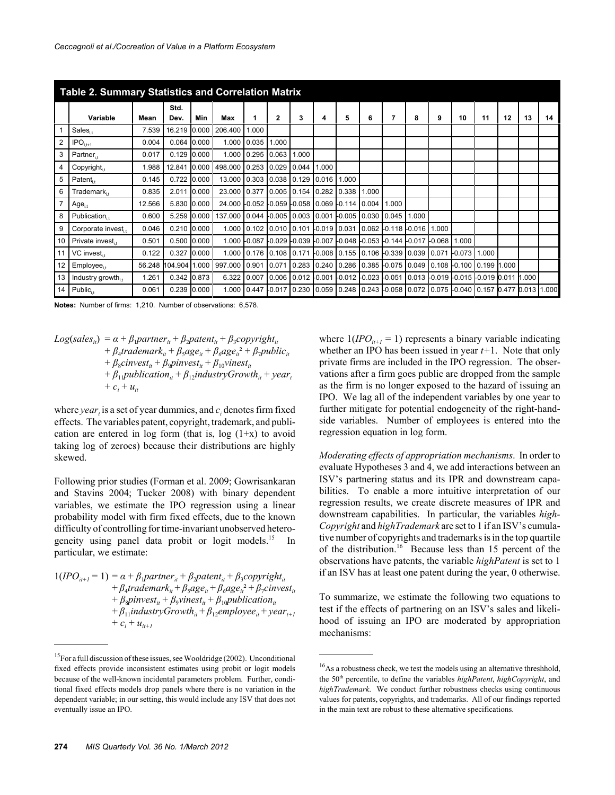|    | <b>Table 2. Summary Statistics and Correlation Matrix</b> |        |             |       |                                |                         |                       |       |                                                                                  |          |       |       |                                                         |   |          |       |       |    |    |
|----|-----------------------------------------------------------|--------|-------------|-------|--------------------------------|-------------------------|-----------------------|-------|----------------------------------------------------------------------------------|----------|-------|-------|---------------------------------------------------------|---|----------|-------|-------|----|----|
|    |                                                           |        | Std.        |       |                                |                         |                       |       |                                                                                  |          |       |       |                                                         |   |          |       |       |    |    |
|    | Variable                                                  | Mean   | Dev.        | Min   | Max                            |                         | $\mathbf{2}$          | 3     | 4                                                                                | 5        | 6     | 7     | 8                                                       | 9 | 10       | 11    | 12    | 13 | 14 |
|    | $Sales_{i}$                                               | 7.539  | 16.219      | 0.000 | 206.400                        | 1.000                   |                       |       |                                                                                  |          |       |       |                                                         |   |          |       |       |    |    |
| 2  | $\mathsf{IPO}_{i,t+1}$                                    | 0.004  | 0.064       | 0.000 | 1.000                          | 0.035                   | 1.000                 |       |                                                                                  |          |       |       |                                                         |   |          |       |       |    |    |
| 3  | $Partner_{i+}$                                            | 0.017  | 0.129       | 0.000 | 1.000                          | 0.295                   | 0.063                 | 1.000 |                                                                                  |          |       |       |                                                         |   |          |       |       |    |    |
| 4  | $Copyrighti+$                                             | 1.988  | 12.841      | 0.000 | 498.000                        | 0.253                   | 0.029 0.044           |       | 1.000                                                                            |          |       |       |                                                         |   |          |       |       |    |    |
| 5  | Patent.                                                   | 0.145  | 0.722 0.000 |       | 13.000                         | 0.303                   | $0.038$ $0.129$ 0.016 |       |                                                                                  | 1.000    |       |       |                                                         |   |          |       |       |    |    |
| 6  | $Trademark_{i+}$                                          | 0.835  | 2.011       | 0.000 | 23.000 0.377                   |                         | $0.005$ 0.154 0.282   |       |                                                                                  | 0.338    | 1.000 |       |                                                         |   |          |       |       |    |    |
|    | $Age_{i}$                                                 | 12.566 | 5.830       | 0.000 | 24.000 0.052 0.059 0.058 0.069 |                         |                       |       |                                                                                  | $-0.114$ | 0.004 | 1.000 |                                                         |   |          |       |       |    |    |
| 8  | Publication <sub>i</sub>                                  | 0.600  | 5.259       | 0.000 | 137.000                        | 0.044                   | $-0.005$ 0.003 0.001  |       |                                                                                  | $-0.005$ | 0.030 | 0.045 | 1.000                                                   |   |          |       |       |    |    |
| 9  | Corporate invest.                                         | 0.046  | 0.210 0.000 |       | 1.000                          | 0.102                   | $0.010$ 0.101         |       | $-0.019$ 0.031                                                                   |          |       |       | $0.062$ -0.118 -0.016 1.000                             |   |          |       |       |    |    |
| 10 | Private invest,                                           | 0.501  | 0.500 0.000 |       |                                |                         |                       |       | 1.000 0.087 0.029 0.039 0.007 0.048 0.053 0.144 0.017 0.068 1.000                |          |       |       |                                                         |   |          |       |       |    |    |
| 11 | VC invest,                                                | 0.122  | 0.327       | 0.000 |                                | 1.000 0.176 0.108 0.171 |                       |       | -0.008 0.155 0.106 -0.339 0.039 0.071                                            |          |       |       |                                                         |   | $-0.073$ | 1.000 |       |    |    |
| 12 | $Emplovee_{i}$                                            | 56.248 | 104.904     | 1.000 | 997.000                        | 0.901                   | 0.071                 |       | $0.283$ 0.240 0.286                                                              |          |       |       | 0.385 -0.075 0.049 0.108 -0.100 0.199                   |   |          |       | 1.000 |    |    |
| 13 | Industry growth.                                          | 1.261  | 0.342 0.873 |       | 6.322                          | 0.007                   |                       |       | 0.011 1.000 0.012 0.001 0.012 0.023 0.051 0.013 0.019 0.015 0.019 0.011 1.000 0. |          |       |       |                                                         |   |          |       |       |    |    |
| 14 | $Public_{i}$                                              | 0.061  | 0.239       | 0.000 | 1.000                          | 0.447                   |                       |       | -0.017 0.230 0.059 0.248                                                         |          |       |       | 0.243 -0.058 0.072 0.075 -0.040 0.157 0.477 0.013 1.000 |   |          |       |       |    |    |

**Notes:** Number of firms: 1,210. Number of observations: 6,578.

$$
Log(sales_{ii}) = \alpha + \beta_1 partner_{ii} + \beta_2 patent_{ii} + \beta_3 copyright_{ii} + \beta_4 trademark_{ii} + \beta_5age_{ii} + \beta_6age_{ii}^2 + \beta_7 public_{ii} + \beta_8cinvest_{ii} + \beta_9 pinvest_{ii} + \beta_{10} vinest_{ii} + \beta_{11} publication_{ii} + \beta_{12} industryGrowth_{ii} + year_{i} + c_i + u_{ii}
$$

where *year*<sub>t</sub> is a set of year dummies, and  $c_i$  denotes firm fixed effects. The variables patent, copyright, trademark, and publication are entered in log form (that is,  $log(1+x)$  to avoid taking log of zeroes) because their distributions are highly skewed.

Following prior studies (Forman et al. 2009; Gowrisankaran and Stavins 2004; Tucker 2008) with binary dependent variables, we estimate the IPO regression using a linear probability model with firm fixed effects, due to the known difficulty of controlling for time-invariant unobserved heterogeneity using panel data probit or logit models.<sup>15</sup> In particular, we estimate:

 $1(IPO_{i+1} = 1) = \alpha + \beta_1$ *partner*<sub>it</sub> +  $\beta_2$ *patent*<sub>it</sub> +  $\beta_3$ *copyright*<sub>it</sub>  $+ \beta_4$ trademark<sub>it</sub> +  $\beta_5$ age<sub>it</sub></sub> +  $\beta_6$ age<sub>it</sub><sup>2</sup> +  $\beta_7$ cinvest<sub>it</sub>  $+ \beta_s p$ *invest<sub>it</sub>* +  $\beta_s$ *vinest<sub>it</sub>* +  $\beta_{10}$ *publication*<sub>it</sub>  $+ \beta_{11}$ *industryGrowth*<sub>it</sub> $+ \beta_{12}$ *employee*<sub>it</sub> $+$ *year*<sub>t+1</sub>  $+ c_i + u_{i+1}$ 

where  $1(IPO_{i+1} = 1)$  represents a binary variable indicating whether an IPO has been issued in year *t+*1. Note that only private firms are included in the IPO regression. The observations after a firm goes public are dropped from the sample as the firm is no longer exposed to the hazard of issuing an IPO. We lag all of the independent variables by one year to further mitigate for potential endogeneity of the right-handside variables. Number of employees is entered into the regression equation in log form.

*Moderating effects of appropriation mechanisms*. In order to evaluate Hypotheses 3 and 4, we add interactions between an ISV's partnering status and its IPR and downstream capabilities. To enable a more intuitive interpretation of our regression results, we create discrete measures of IPR and downstream capabilities. In particular, the variables *high-Copyright* and *highTrademark* are set to 1 if an ISV's cumulative number of copyrights and trademarks is in the top quartile of the distribution.<sup>16</sup> Because less than 15 percent of the observations have patents, the variable *highPatent* is set to 1 if an ISV has at least one patent during the year, 0 otherwise.

To summarize, we estimate the following two equations to test if the effects of partnering on an ISV's sales and likelihood of issuing an IPO are moderated by appropriation mechanisms:

 $15$ For a full discussion of these issues, see Wooldridge (2002). Unconditional fixed effects provide inconsistent estimates using probit or logit models because of the well-known incidental parameters problem. Further, conditional fixed effects models drop panels where there is no variation in the dependent variable; in our setting, this would include any ISV that does not eventually issue an IPO.

<sup>&</sup>lt;sup>16</sup>As a robustness check, we test the models using an alternative threshhold, the 50th percentile, to define the variables *highPatent*, *highCopyright*, and *highTrademark*. We conduct further robustness checks using continuous values for patents, copyrights, and trademarks. All of our findings reported in the main text are robust to these alternative specifications.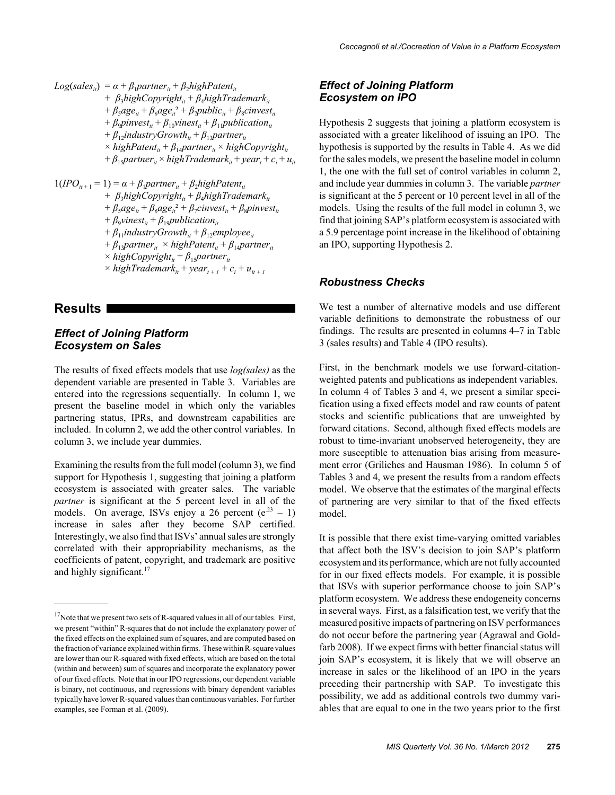$Log(sales_{it}) = \alpha + \beta_1 partner_{it} + \beta_2 highPatent_{it}$ + *β*<sub>3</sub>*highCopyright<sub>it</sub>* + *β*<sub>4</sub>*highTrademark*<sub>it</sub>  $+ \beta_5 a g e_{it} + \beta_6 a g e_{it}^2 + \beta_7 p u b l i c_{it} + \beta_8 c i n v e s t_{it}$  $+ \beta_9$ *pinvest<sub>it</sub>* +  $\beta_{10}$ *vinest<sub>it</sub>* +  $\beta_{11}$ *publication*<sub>it</sub>  $+ \beta_{12}$ *industryGrowth*<sub>it</sub>  $+ \beta_{13}$ *partner*<sub>it</sub>  $\times$  *highPatent<sub>it</sub>* +  $\beta_{14}$ *partner<sub>it</sub>*  $\times$  *highCopyright<sub>it</sub>*  $+ \beta_{15}$ *partner*<sub>*it</sub>* × *highTrademark*<sub>*it*</sub> + *year*<sub>*t*</sub> + *c*<sub>*i*</sub> + *u*<sub>*it*</sub></sub>  $1(IPO_{i+1} = 1) = \alpha + \beta_1$ *partner*<sub>it</sub> +  $\beta_2$ *highPatent*<sub>it</sub> + *β*<sub>3</sub>*highCopyright<sub>it</sub>* + *β*<sub>4</sub>*highTrademark*<sub>it</sub>

 $+ \beta_5 a g e_{it} + \beta_6 a g e_{it}^2 + \beta_7 c invest_{it} + \beta_8 p invest_{it}$  $+ \beta_9 \text{vinest}_{it} + \beta_{19} \text{publication}_{it}$  $+ \beta_{11}$ *industryGrowth*<sub>*it*</sub> +  $\beta_{12}$ *employee*<sub>*it*</sub>  $+ \beta_{13}$ *partner*<sub>it</sub> × *highPatent*<sub>it</sub> +  $\beta_{14}$ *partner*<sub>it</sub>  $\times$  *highCopyright*<sub>it</sub> +  $\beta_{15}$ *partner*<sub>it</sub>  $\times$  *highTrademark*<sub>it</sub> + *year*<sub>t + 1</sub> +  $c_i$  +  $u_{it+1}$ 

#### **Results**

#### *Effect of Joining Platform Ecosystem on Sales*

The results of fixed effects models that use *log(sales)* as the dependent variable are presented in Table 3. Variables are entered into the regressions sequentially. In column 1, we present the baseline model in which only the variables partnering status, IPRs, and downstream capabilities are included. In column 2, we add the other control variables. In column 3, we include year dummies.

Examining the results from the full model (column 3), we find support for Hypothesis 1, suggesting that joining a platform ecosystem is associated with greater sales. The variable *partner* is significant at the 5 percent level in all of the models. On average, ISVs enjoy a 26 percent  $(e^{23} - 1)$ increase in sales after they become SAP certified. Interestingly, we also find that ISVs' annual sales are strongly correlated with their appropriability mechanisms, as the coefficients of patent, copyright, and trademark are positive and highly significant. $17$ 

#### *Effect of Joining Platform Ecosystem on IPO*

Hypothesis 2 suggests that joining a platform ecosystem is associated with a greater likelihood of issuing an IPO. The hypothesis is supported by the results in Table 4. As we did for the sales models, we present the baseline model in column 1, the one with the full set of control variables in column 2, and include year dummies in column 3. The variable *partner* is significant at the 5 percent or 10 percent level in all of the models. Using the results of the full model in column 3, we find that joining SAP's platform ecosystem is associated with a 5.9 percentage point increase in the likelihood of obtaining an IPO, supporting Hypothesis 2.

#### *Robustness Checks*

We test a number of alternative models and use different variable definitions to demonstrate the robustness of our findings. The results are presented in columns 4–7 in Table 3 (sales results) and Table 4 (IPO results).

First, in the benchmark models we use forward-citationweighted patents and publications as independent variables. In column 4 of Tables 3 and 4, we present a similar specification using a fixed effects model and raw counts of patent stocks and scientific publications that are unweighted by forward citations. Second, although fixed effects models are robust to time-invariant unobserved heterogeneity, they are more susceptible to attenuation bias arising from measurement error (Griliches and Hausman 1986). In column 5 of Tables 3 and 4, we present the results from a random effects model. We observe that the estimates of the marginal effects of partnering are very similar to that of the fixed effects model.

It is possible that there exist time-varying omitted variables that affect both the ISV's decision to join SAP's platform ecosystem and its performance, which are not fully accounted for in our fixed effects models. For example, it is possible that ISVs with superior performance choose to join SAP's platform ecosystem. We address these endogeneity concerns in several ways. First, as a falsification test, we verify that the measured positive impacts of partnering on ISV performances do not occur before the partnering year (Agrawal and Goldfarb 2008). If we expect firms with better financial status will join SAP's ecosystem, it is likely that we will observe an increase in sales or the likelihood of an IPO in the years preceding their partnership with SAP. To investigate this possibility, we add as additional controls two dummy variables that are equal to one in the two years prior to the first

 $17$ Note that we present two sets of R-squared values in all of our tables. First, we present "within" R-squares that do not include the explanatory power of the fixed effects on the explained sum of squares, and are computed based on the fraction of variance explained within firms. These within R-square values are lower than our R-squared with fixed effects, which are based on the total (within and between) sum of squares and incorporate the explanatory power of our fixed effects. Note that in our IPO regressions, our dependent variable is binary, not continuous, and regressions with binary dependent variables typically have lower R-squared values than continuous variables. For further examples, see Forman et al. (2009).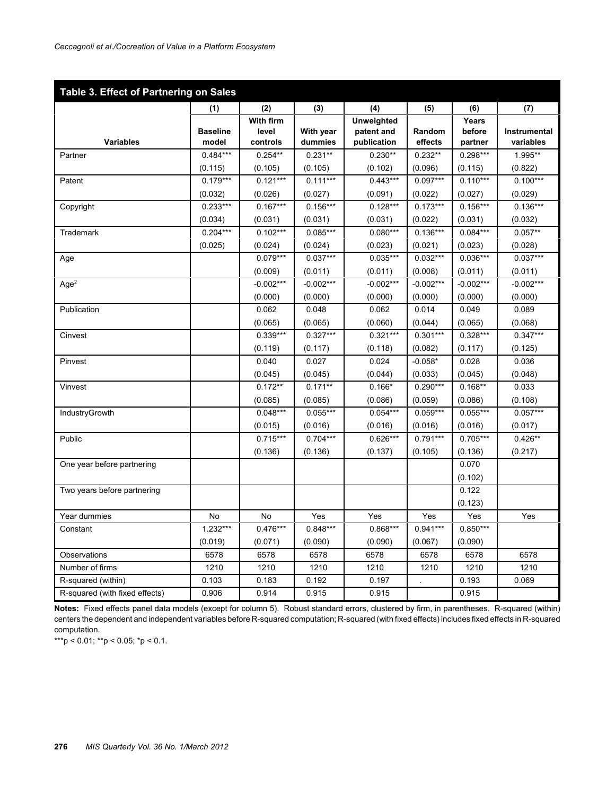| Table 3. Effect of Partnering on Sales |                 |             |             |                   |             |             |              |
|----------------------------------------|-----------------|-------------|-------------|-------------------|-------------|-------------|--------------|
|                                        | (1)             | (2)         | (3)         | (4)               | (5)         | (6)         | (7)          |
|                                        |                 | With firm   |             | <b>Unweighted</b> |             | Years       |              |
|                                        | <b>Baseline</b> | level       | With year   | patent and        | Random      | before      | Instrumental |
| <b>Variables</b>                       | model           | controls    | dummies     | publication       | effects     | partner     | variables    |
| Partner                                | $0.484***$      | $0.254**$   | $0.231**$   | $0.230**$         | $0.232**$   | $0.298***$  | 1.995**      |
|                                        | (0.115)         | (0.105)     | (0.105)     | (0.102)           | (0.096)     | (0.115)     | (0.822)      |
| Patent                                 | $0.179***$      | $0.121***$  | $0.111***$  | $0.443***$        | $0.097***$  | $0.110***$  | $0.100***$   |
|                                        | (0.032)         | (0.026)     | (0.027)     | (0.091)           | (0.022)     | (0.027)     | (0.029)      |
| Copyright                              | $0.233***$      | $0.167***$  | $0.156***$  | $0.128***$        | $0.173***$  | $0.156***$  | $0.136***$   |
|                                        | (0.034)         | (0.031)     | (0.031)     | (0.031)           | (0.022)     | (0.031)     | (0.032)      |
| Trademark                              | $0.204***$      | $0.102***$  | $0.085***$  | $0.080***$        | $0.136***$  | $0.084***$  | $0.057**$    |
|                                        | (0.025)         | (0.024)     | (0.024)     | (0.023)           | (0.021)     | (0.023)     | (0.028)      |
| Age                                    |                 | $0.079***$  | $0.037***$  | $0.035***$        | $0.032***$  | $0.036***$  | $0.037***$   |
|                                        |                 | (0.009)     | (0.011)     | (0.011)           | (0.008)     | (0.011)     | (0.011)      |
| Age <sup>2</sup>                       |                 | $-0.002***$ | $-0.002***$ | $-0.002***$       | $-0.002***$ | $-0.002***$ | $-0.002***$  |
|                                        |                 | (0.000)     | (0.000)     | (0.000)           | (0.000)     | (0.000)     | (0.000)      |
| Publication                            |                 | 0.062       | 0.048       | 0.062             | 0.014       | 0.049       | 0.089        |
|                                        |                 | (0.065)     | (0.065)     | (0.060)           | (0.044)     | (0.065)     | (0.068)      |
| Cinvest                                |                 | $0.339***$  | $0.327***$  | $0.321***$        | $0.301***$  | $0.328***$  | $0.347***$   |
|                                        |                 | (0.119)     | (0.117)     | (0.118)           | (0.082)     | (0.117)     | (0.125)      |
| Pinvest                                |                 | 0.040       | 0.027       | 0.024             | $-0.058*$   | 0.028       | 0.036        |
|                                        |                 | (0.045)     | (0.045)     | (0.044)           | (0.033)     | (0.045)     | (0.048)      |
| Vinvest                                |                 | $0.172**$   | $0.171**$   | $0.166*$          | $0.290***$  | $0.168**$   | 0.033        |
|                                        |                 | (0.085)     | (0.085)     | (0.086)           | (0.059)     | (0.086)     | (0.108)      |
| IndustryGrowth                         |                 | $0.048***$  | $0.055***$  | $0.054***$        | $0.059***$  | $0.055***$  | $0.057***$   |
|                                        |                 | (0.015)     | (0.016)     | (0.016)           | (0.016)     | (0.016)     | (0.017)      |
| Public                                 |                 | $0.715***$  | $0.704***$  | $0.626***$        | $0.791***$  | $0.705***$  | $0.426**$    |
|                                        |                 | (0.136)     | (0.136)     | (0.137)           | (0.105)     | (0.136)     | (0.217)      |
| One year before partnering             |                 |             |             |                   |             | 0.070       |              |
|                                        |                 |             |             |                   |             | (0.102)     |              |
| Two years before partnering            |                 |             |             |                   |             | 0.122       |              |
|                                        |                 |             |             |                   |             | (0.123)     |              |
| Year dummies                           | <b>No</b>       | No          | Yes         | Yes               | Yes         | Yes         | Yes          |
| Constant                               | $1.232***$      | $0.476***$  | $0.848***$  | $0.868***$        | $0.941***$  | $0.850***$  |              |
|                                        | (0.019)         | (0.071)     | (0.090)     | (0.090)           | (0.067)     | (0.090)     |              |
| Observations                           | 6578            | 6578        | 6578        | 6578              | 6578        | 6578        | 6578         |
| Number of firms                        | 1210            | 1210        | 1210        | 1210              | 1210        | 1210        | 1210         |
| R-squared (within)                     | 0.103           | 0.183       | 0.192       | 0.197             |             | 0.193       | 0.069        |
| R-squared (with fixed effects)         | 0.906           | 0.914       | 0.915       | 0.915             |             | 0.915       |              |

**Notes:** Fixed effects panel data models (except for column 5). Robust standard errors, clustered by firm, in parentheses. R-squared (within) centers the dependent and independent variables before R-squared computation; R-squared (with fixed effects) includes fixed effects in R-squared computation.

\*\*\*p < 0.01; \*\*p < 0.05; \*p < 0.1.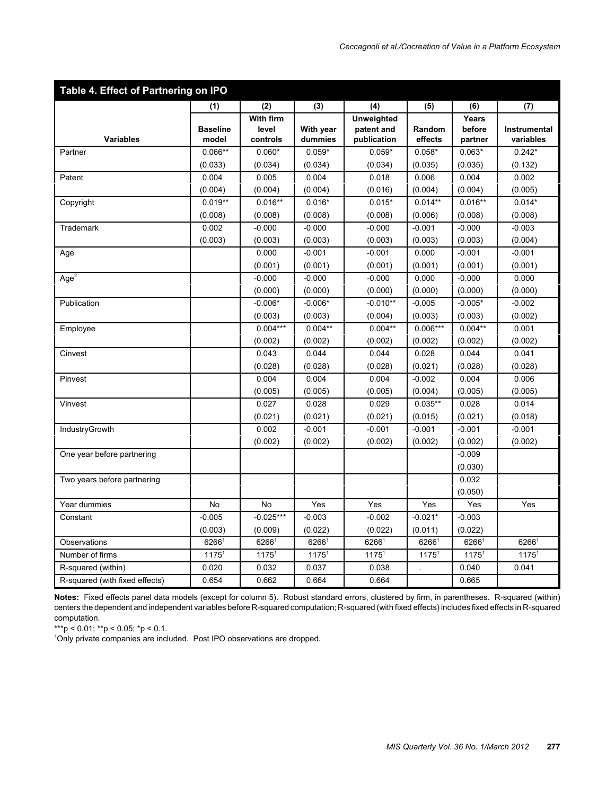| Table 4. Effect of Partnering on IPO |                   |                   |                   |                   |                   |                   |                   |
|--------------------------------------|-------------------|-------------------|-------------------|-------------------|-------------------|-------------------|-------------------|
|                                      | (1)               | (2)               | (3)               | (4)               | (5)               | (6)               | (7)               |
|                                      |                   | With firm         |                   | <b>Unweighted</b> |                   | Years             |                   |
|                                      | <b>Baseline</b>   | level             | With year         | patent and        | Random            | before            | Instrumental      |
| <b>Variables</b>                     | model             | controls          | dummies           | publication       | effects           | partner           | variables         |
| Partner                              | $0.066**$         | $0.060*$          | $0.059*$          | $0.059*$          | $0.058*$          | $0.063*$          | $0.242*$          |
|                                      | (0.033)           | (0.034)           | (0.034)           | (0.034)           | (0.035)           | (0.035)           | (0.132)           |
| Patent                               | 0.004             | 0.005             | 0.004             | 0.018             | 0.006             | 0.004             | 0.002             |
|                                      | (0.004)           | (0.004)           | (0.004)           | (0.016)           | (0.004)           | (0.004)           | (0.005)           |
| Copyright                            | $0.019**$         | $0.016**$         | $0.016*$          | $0.015*$          | $0.014**$         | $0.016**$         | $0.014*$          |
|                                      | (0.008)           | (0.008)           | (0.008)           | (0.008)           | (0.006)           | (0.008)           | (0.008)           |
| Trademark                            | 0.002             | $-0.000$          | $-0.000$          | $-0.000$          | $-0.001$          | $-0.000$          | $-0.003$          |
|                                      | (0.003)           | (0.003)           | (0.003)           | (0.003)           | (0.003)           | (0.003)           | (0.004)           |
| Age                                  |                   | 0.000             | $-0.001$          | $-0.001$          | 0.000             | $-0.001$          | $-0.001$          |
|                                      |                   | (0.001)           | (0.001)           | (0.001)           | (0.001)           | (0.001)           | (0.001)           |
| Age <sup>2</sup>                     |                   | $-0.000$          | $-0.000$          | $-0.000$          | 0.000             | $-0.000$          | 0.000             |
|                                      |                   | (0.000)           | (0.000)           | (0.000)           | (0.000)           | (0.000)           | (0.000)           |
| Publication                          |                   | $-0.006*$         | $-0.006*$         | $-0.010**$        | $-0.005$          | $-0.005*$         | $-0.002$          |
|                                      |                   | (0.003)           | (0.003)           | (0.004)           | (0.003)           | (0.003)           | (0.002)           |
| Employee                             |                   | $0.004***$        | $0.004**$         | $0.004**$         | $0.006***$        | $0.004**$         | 0.001             |
|                                      |                   | (0.002)           | (0.002)           | (0.002)           | (0.002)           | (0.002)           | (0.002)           |
| Cinvest                              |                   | 0.043             | 0.044             | 0.044             | 0.028             | 0.044             | 0.041             |
|                                      |                   | (0.028)           | (0.028)           | (0.028)           | (0.021)           | (0.028)           | (0.028)           |
| Pinvest                              |                   | 0.004             | 0.004             | 0.004             | $-0.002$          | 0.004             | 0.006             |
|                                      |                   | (0.005)           | (0.005)           | (0.005)           | (0.004)           | (0.005)           | (0.005)           |
| Vinvest                              |                   | 0.027             | 0.028             | 0.029             | $0.035**$         | 0.028             | 0.014             |
|                                      |                   | (0.021)           | (0.021)           | (0.021)           | (0.015)           | (0.021)           | (0.018)           |
| IndustryGrowth                       |                   | 0.002             | $-0.001$          | $-0.001$          | $-0.001$          | $-0.001$          | $-0.001$          |
|                                      |                   | (0.002)           | (0.002)           | (0.002)           | (0.002)           | (0.002)           | (0.002)           |
| One year before partnering           |                   |                   |                   |                   |                   | $-0.009$          |                   |
|                                      |                   |                   |                   |                   |                   | (0.030)           |                   |
| Two years before partnering          |                   |                   |                   |                   |                   | 0.032             |                   |
|                                      |                   |                   |                   |                   |                   | (0.050)           |                   |
| Year dummies                         | No                | No                | Yes               | Yes               | Yes               | Yes               | Yes               |
| Constant                             | $-0.005$          | $-0.025***$       | $-0.003$          | $-0.002$          | $-0.021*$         | $-0.003$          |                   |
|                                      | (0.003)           | (0.009)           | (0.022)           | (0.022)           | (0.011)           | (0.022)           |                   |
| Observations                         | 62661             | 62661             | 62661             | 62661             | 62661             | 62661             | 62661             |
| Number of firms                      | 1175 <sup>1</sup> | 1175 <sup>1</sup> | 1175 <sup>1</sup> | 1175 <sup>1</sup> | 1175 <sup>1</sup> | 1175 <sup>1</sup> | 1175 <sup>1</sup> |
| R-squared (within)                   | 0.020             | 0.032             | 0.037             | 0.038             |                   | 0.040             | 0.041             |
| R-squared (with fixed effects)       | 0.654             | 0.662             | 0.664             | 0.664             |                   | 0.665             |                   |

**Notes:** Fixed effects panel data models (except for column 5). Robust standard errors, clustered by firm, in parentheses. R-squared (within) centers the dependent and independent variables before R-squared computation; R-squared (with fixed effects) includes fixed effects in R-squared computation.

\*\*\*p < 0.01; \*\*p < 0.05; \*p < 0.1.

<sup>1</sup>Only private companies are included. Post IPO observations are dropped.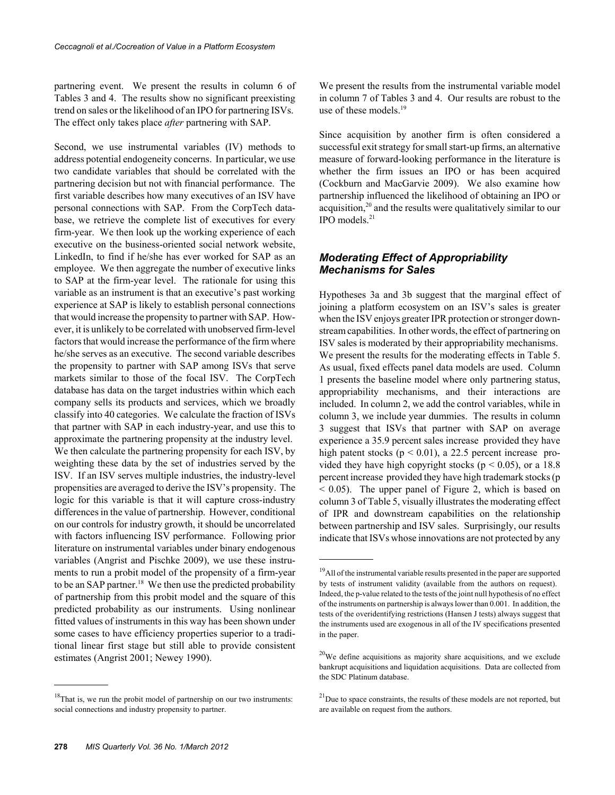partnering event. We present the results in column 6 of Tables 3 and 4. The results show no significant preexisting trend on sales or the likelihood of an IPO for partnering ISVs. The effect only takes place *after* partnering with SAP.

Second, we use instrumental variables (IV) methods to address potential endogeneity concerns. In particular, we use two candidate variables that should be correlated with the partnering decision but not with financial performance. The first variable describes how many executives of an ISV have personal connections with SAP. From the CorpTech database, we retrieve the complete list of executives for every firm-year. We then look up the working experience of each executive on the business-oriented social network website, LinkedIn, to find if he/she has ever worked for SAP as an employee. We then aggregate the number of executive links to SAP at the firm-year level. The rationale for using this variable as an instrument is that an executive's past working experience at SAP is likely to establish personal connections that would increase the propensity to partner with SAP. However, it is unlikely to be correlated with unobserved firm-level factors that would increase the performance of the firm where he/she serves as an executive. The second variable describes the propensity to partner with SAP among ISVs that serve markets similar to those of the focal ISV. The CorpTech database has data on the target industries within which each company sells its products and services, which we broadly classify into 40 categories. We calculate the fraction of ISVs that partner with SAP in each industry-year, and use this to approximate the partnering propensity at the industry level. We then calculate the partnering propensity for each ISV, by weighting these data by the set of industries served by the ISV. If an ISV serves multiple industries, the industry-level propensities are averaged to derive the ISV's propensity. The logic for this variable is that it will capture cross-industry differences in the value of partnership. However, conditional on our controls for industry growth, it should be uncorrelated with factors influencing ISV performance. Following prior literature on instrumental variables under binary endogenous variables (Angrist and Pischke 2009), we use these instruments to run a probit model of the propensity of a firm-year to be an SAP partner.<sup>18</sup> We then use the predicted probability of partnership from this probit model and the square of this predicted probability as our instruments. Using nonlinear fitted values of instruments in this way has been shown under some cases to have efficiency properties superior to a traditional linear first stage but still able to provide consistent estimates (Angrist 2001; Newey 1990).

 $18$ That is, we run the probit model of partnership on our two instruments: social connections and industry propensity to partner.

We present the results from the instrumental variable model in column 7 of Tables 3 and 4. Our results are robust to the use of these models.<sup>19</sup>

Since acquisition by another firm is often considered a successful exit strategy for small start-up firms, an alternative measure of forward-looking performance in the literature is whether the firm issues an IPO or has been acquired (Cockburn and MacGarvie 2009). We also examine how partnership influenced the likelihood of obtaining an IPO or acquisition,<sup>20</sup> and the results were qualitatively similar to our  $IPO$  models. $^{21}$ 

#### *Moderating Effect of Appropriability Mechanisms for Sales*

Hypotheses 3a and 3b suggest that the marginal effect of joining a platform ecosystem on an ISV's sales is greater when the ISV enjoys greater IPR protection or stronger downstream capabilities. In other words, the effect of partnering on ISV sales is moderated by their appropriability mechanisms. We present the results for the moderating effects in Table 5. As usual, fixed effects panel data models are used. Column 1 presents the baseline model where only partnering status, appropriability mechanisms, and their interactions are included. In column 2, we add the control variables, while in column 3, we include year dummies. The results in column 3 suggest that ISVs that partner with SAP on average experience a 35.9 percent sales increase provided they have high patent stocks ( $p < 0.01$ ), a 22.5 percent increase provided they have high copyright stocks ( $p < 0.05$ ), or a 18.8 percent increase provided they have high trademark stocks (p < 0.05). The upper panel of Figure 2, which is based on column 3 of Table 5, visually illustrates the moderating effect of IPR and downstream capabilities on the relationship between partnership and ISV sales. Surprisingly, our results indicate that ISVs whose innovations are not protected by any

<sup>&</sup>lt;sup>19</sup>All of the instrumental variable results presented in the paper are supported by tests of instrument validity (available from the authors on request). Indeed, the p-value related to the tests of the joint null hypothesis of no effect of the instruments on partnership is always lower than 0.001. In addition, the tests of the overidentifying restrictions (Hansen J tests) always suggest that the instruments used are exogenous in all of the IV specifications presented in the paper.

 $20$ We define acquisitions as majority share acquisitions, and we exclude bankrupt acquisitions and liquidation acquisitions. Data are collected from the SDC Platinum database.

 $21$ Due to space constraints, the results of these models are not reported, but are available on request from the authors.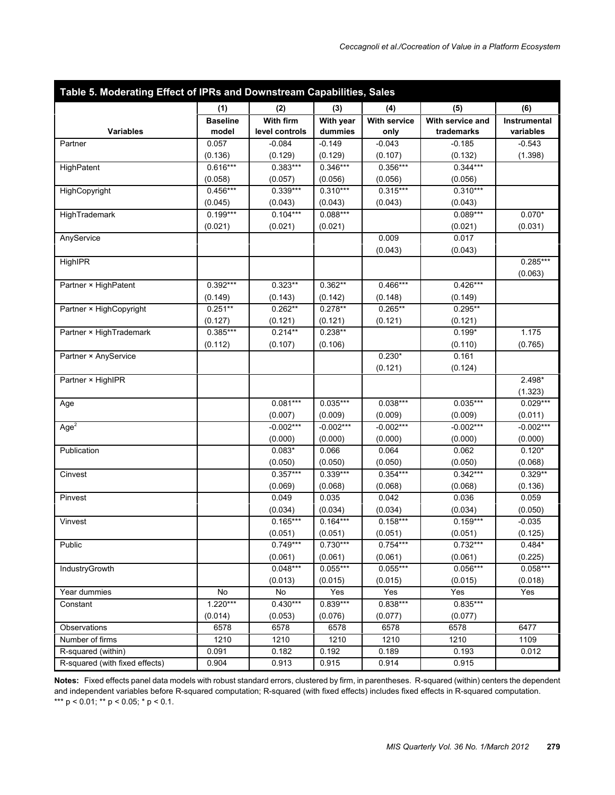| (1)<br>(2)<br>(3)<br>(4)<br>(5)<br>(6)<br>With firm<br><b>Baseline</b><br>With year<br><b>With service</b><br>With service and<br>Instrumental<br>Variables<br>level controls<br>dummies<br>trademarks<br>variables<br>model<br>only<br>0.057<br>$-0.084$<br>$-0.149$<br>$-0.043$<br>$-0.185$<br>$-0.543$<br>Partner<br>(0.136)<br>(0.129)<br>(1.398)<br>(0.129)<br>(0.107)<br>(0.132)<br>$0.616***$<br>$0.383***$<br>$0.346***$<br>$0.356***$<br>$0.344***$<br>HighPatent<br>(0.058)<br>(0.057)<br>(0.056)<br>(0.056)<br>(0.056)<br>$0.456***$<br>$0.339***$<br>$0.310***$<br>$0.315***$<br>$0.310***$<br>HighCopyright<br>(0.045)<br>(0.043)<br>(0.043)<br>(0.043)<br>(0.043)<br>$0.199***$<br>$0.104***$<br>$0.088***$<br>$0.089***$<br>$0.070*$<br>HighTrademark<br>(0.021)<br>(0.021)<br>(0.021)<br>(0.021)<br>(0.031)<br>0.009<br>0.017<br>AnyService<br>(0.043)<br>(0.043)<br>$0.285***$<br>HighIPR<br>(0.063)<br>$0.392***$<br>$0.323**$<br>$0.362**$<br>$0.466***$<br>$0.426***$<br>Partner × HighPatent<br>(0.149)<br>(0.143)<br>(0.142)<br>(0.148)<br>(0.149)<br>$0.251**$<br>$0.262**$<br>$0.265**$<br>$0.295**$<br>$0.278**$<br>Partner × HighCopyright<br>(0.127)<br>(0.121)<br>(0.121)<br>(0.121)<br>(0.121)<br>$0.214**$<br>$0.385***$<br>$0.238**$<br>$0.199*$<br>1.175<br>Partner × HighTrademark<br>(0.765)<br>(0.112)<br>(0.107)<br>(0.106)<br>(0.110)<br>$0.230*$<br>Partner × AnyService<br>0.161<br>(0.121)<br>(0.124)<br>$2.498*$<br>Partner × HighIPR<br>(1.323)<br>$0.081***$<br>$0.035***$<br>$0.038***$<br>$0.035***$<br>$0.029***$<br>Age<br>(0.007)<br>(0.009)<br>(0.009)<br>(0.009)<br>(0.011)<br>$-0.002***$<br>$-0.002***$<br>$-0.002***$<br>$-0.002***$<br>$-0.002***$<br>Age <sup>2</sup><br>(0.000)<br>(0.000)<br>(0.000)<br>(0.000)<br>(0.000)<br>$0.083*$<br>0.064<br>$0.120*$<br>Publication<br>0.066<br>0.062<br>(0.050)<br>(0.050)<br>(0.050)<br>(0.050)<br>(0.068)<br>$0.357***$<br>$0.339***$<br>$0.354***$<br>$0.342***$<br>$0.329**$<br>Cinvest<br>(0.069)<br>(0.068)<br>(0.068)<br>(0.068)<br>(0.136)<br>0.049<br>0.035<br>0.042<br>0.036<br>0.059<br>Pinvest<br>(0.034)<br>(0.034)<br>(0.034)<br>(0.034)<br>(0.050)<br>$0.165***$<br>$0.164***$<br>$0.158***$<br>$0.159***$<br>$-0.035$<br>Vinvest<br>(0.051)<br>(0.125)<br>(0.051)<br>(0.051)<br>(0.051)<br>$0.749***$<br>$0.730***$<br>$0.754***$<br>Public<br>$0.732***$<br>$0.484*$<br>(0.061)<br>(0.061)<br>(0.061)<br>(0.061)<br>(0.225)<br>$0.048***$<br>$0.055***$<br>$0.055***$<br>$0.056***$<br>$0.058***$<br>IndustryGrowth<br>(0.013)<br>(0.015)<br>(0.015)<br>(0.015)<br>(0.018)<br>No<br>No<br>Yes<br>Yes<br>Yes<br>Yes<br>Year dummies<br>$1.220***$<br>$0.430***$<br>$0.835***$<br>$0.839***$<br>$0.838***$<br>Constant<br>(0.014)<br>(0.053)<br>(0.076)<br>(0.077)<br>(0.077)<br>6578<br>6578<br>6578<br>6578<br>6578<br>6477<br>Observations<br>Number of firms<br>1210<br>1210<br>1210<br>1210<br>1210<br>1109<br>R-squared (within)<br>0.091<br>0.182<br>0.192<br>0.189<br>0.193<br>0.012<br>0.904<br>R-squared (with fixed effects)<br>0.913<br>0.915<br>0.914<br>0.915 | Table 5. Moderating Effect of IPRs and Downstream Capabilities, Sales |  |  |  |  |  |  |
|---------------------------------------------------------------------------------------------------------------------------------------------------------------------------------------------------------------------------------------------------------------------------------------------------------------------------------------------------------------------------------------------------------------------------------------------------------------------------------------------------------------------------------------------------------------------------------------------------------------------------------------------------------------------------------------------------------------------------------------------------------------------------------------------------------------------------------------------------------------------------------------------------------------------------------------------------------------------------------------------------------------------------------------------------------------------------------------------------------------------------------------------------------------------------------------------------------------------------------------------------------------------------------------------------------------------------------------------------------------------------------------------------------------------------------------------------------------------------------------------------------------------------------------------------------------------------------------------------------------------------------------------------------------------------------------------------------------------------------------------------------------------------------------------------------------------------------------------------------------------------------------------------------------------------------------------------------------------------------------------------------------------------------------------------------------------------------------------------------------------------------------------------------------------------------------------------------------------------------------------------------------------------------------------------------------------------------------------------------------------------------------------------------------------------------------------------------------------------------------------------------------------------------------------------------------------------------------------------------------------------------------------------------------------------------------------------------------------------------------------------------------------------------------------------------------------------------------------------------------------------------------------------------------------------------------------------------------------------------------------------------------------------------------------------------------------------------------------|-----------------------------------------------------------------------|--|--|--|--|--|--|
|                                                                                                                                                                                                                                                                                                                                                                                                                                                                                                                                                                                                                                                                                                                                                                                                                                                                                                                                                                                                                                                                                                                                                                                                                                                                                                                                                                                                                                                                                                                                                                                                                                                                                                                                                                                                                                                                                                                                                                                                                                                                                                                                                                                                                                                                                                                                                                                                                                                                                                                                                                                                                                                                                                                                                                                                                                                                                                                                                                                                                                                                                             |                                                                       |  |  |  |  |  |  |
|                                                                                                                                                                                                                                                                                                                                                                                                                                                                                                                                                                                                                                                                                                                                                                                                                                                                                                                                                                                                                                                                                                                                                                                                                                                                                                                                                                                                                                                                                                                                                                                                                                                                                                                                                                                                                                                                                                                                                                                                                                                                                                                                                                                                                                                                                                                                                                                                                                                                                                                                                                                                                                                                                                                                                                                                                                                                                                                                                                                                                                                                                             |                                                                       |  |  |  |  |  |  |
|                                                                                                                                                                                                                                                                                                                                                                                                                                                                                                                                                                                                                                                                                                                                                                                                                                                                                                                                                                                                                                                                                                                                                                                                                                                                                                                                                                                                                                                                                                                                                                                                                                                                                                                                                                                                                                                                                                                                                                                                                                                                                                                                                                                                                                                                                                                                                                                                                                                                                                                                                                                                                                                                                                                                                                                                                                                                                                                                                                                                                                                                                             |                                                                       |  |  |  |  |  |  |
|                                                                                                                                                                                                                                                                                                                                                                                                                                                                                                                                                                                                                                                                                                                                                                                                                                                                                                                                                                                                                                                                                                                                                                                                                                                                                                                                                                                                                                                                                                                                                                                                                                                                                                                                                                                                                                                                                                                                                                                                                                                                                                                                                                                                                                                                                                                                                                                                                                                                                                                                                                                                                                                                                                                                                                                                                                                                                                                                                                                                                                                                                             |                                                                       |  |  |  |  |  |  |
|                                                                                                                                                                                                                                                                                                                                                                                                                                                                                                                                                                                                                                                                                                                                                                                                                                                                                                                                                                                                                                                                                                                                                                                                                                                                                                                                                                                                                                                                                                                                                                                                                                                                                                                                                                                                                                                                                                                                                                                                                                                                                                                                                                                                                                                                                                                                                                                                                                                                                                                                                                                                                                                                                                                                                                                                                                                                                                                                                                                                                                                                                             |                                                                       |  |  |  |  |  |  |
|                                                                                                                                                                                                                                                                                                                                                                                                                                                                                                                                                                                                                                                                                                                                                                                                                                                                                                                                                                                                                                                                                                                                                                                                                                                                                                                                                                                                                                                                                                                                                                                                                                                                                                                                                                                                                                                                                                                                                                                                                                                                                                                                                                                                                                                                                                                                                                                                                                                                                                                                                                                                                                                                                                                                                                                                                                                                                                                                                                                                                                                                                             |                                                                       |  |  |  |  |  |  |
|                                                                                                                                                                                                                                                                                                                                                                                                                                                                                                                                                                                                                                                                                                                                                                                                                                                                                                                                                                                                                                                                                                                                                                                                                                                                                                                                                                                                                                                                                                                                                                                                                                                                                                                                                                                                                                                                                                                                                                                                                                                                                                                                                                                                                                                                                                                                                                                                                                                                                                                                                                                                                                                                                                                                                                                                                                                                                                                                                                                                                                                                                             |                                                                       |  |  |  |  |  |  |
|                                                                                                                                                                                                                                                                                                                                                                                                                                                                                                                                                                                                                                                                                                                                                                                                                                                                                                                                                                                                                                                                                                                                                                                                                                                                                                                                                                                                                                                                                                                                                                                                                                                                                                                                                                                                                                                                                                                                                                                                                                                                                                                                                                                                                                                                                                                                                                                                                                                                                                                                                                                                                                                                                                                                                                                                                                                                                                                                                                                                                                                                                             |                                                                       |  |  |  |  |  |  |
|                                                                                                                                                                                                                                                                                                                                                                                                                                                                                                                                                                                                                                                                                                                                                                                                                                                                                                                                                                                                                                                                                                                                                                                                                                                                                                                                                                                                                                                                                                                                                                                                                                                                                                                                                                                                                                                                                                                                                                                                                                                                                                                                                                                                                                                                                                                                                                                                                                                                                                                                                                                                                                                                                                                                                                                                                                                                                                                                                                                                                                                                                             |                                                                       |  |  |  |  |  |  |
|                                                                                                                                                                                                                                                                                                                                                                                                                                                                                                                                                                                                                                                                                                                                                                                                                                                                                                                                                                                                                                                                                                                                                                                                                                                                                                                                                                                                                                                                                                                                                                                                                                                                                                                                                                                                                                                                                                                                                                                                                                                                                                                                                                                                                                                                                                                                                                                                                                                                                                                                                                                                                                                                                                                                                                                                                                                                                                                                                                                                                                                                                             |                                                                       |  |  |  |  |  |  |
|                                                                                                                                                                                                                                                                                                                                                                                                                                                                                                                                                                                                                                                                                                                                                                                                                                                                                                                                                                                                                                                                                                                                                                                                                                                                                                                                                                                                                                                                                                                                                                                                                                                                                                                                                                                                                                                                                                                                                                                                                                                                                                                                                                                                                                                                                                                                                                                                                                                                                                                                                                                                                                                                                                                                                                                                                                                                                                                                                                                                                                                                                             |                                                                       |  |  |  |  |  |  |
|                                                                                                                                                                                                                                                                                                                                                                                                                                                                                                                                                                                                                                                                                                                                                                                                                                                                                                                                                                                                                                                                                                                                                                                                                                                                                                                                                                                                                                                                                                                                                                                                                                                                                                                                                                                                                                                                                                                                                                                                                                                                                                                                                                                                                                                                                                                                                                                                                                                                                                                                                                                                                                                                                                                                                                                                                                                                                                                                                                                                                                                                                             |                                                                       |  |  |  |  |  |  |
|                                                                                                                                                                                                                                                                                                                                                                                                                                                                                                                                                                                                                                                                                                                                                                                                                                                                                                                                                                                                                                                                                                                                                                                                                                                                                                                                                                                                                                                                                                                                                                                                                                                                                                                                                                                                                                                                                                                                                                                                                                                                                                                                                                                                                                                                                                                                                                                                                                                                                                                                                                                                                                                                                                                                                                                                                                                                                                                                                                                                                                                                                             |                                                                       |  |  |  |  |  |  |
|                                                                                                                                                                                                                                                                                                                                                                                                                                                                                                                                                                                                                                                                                                                                                                                                                                                                                                                                                                                                                                                                                                                                                                                                                                                                                                                                                                                                                                                                                                                                                                                                                                                                                                                                                                                                                                                                                                                                                                                                                                                                                                                                                                                                                                                                                                                                                                                                                                                                                                                                                                                                                                                                                                                                                                                                                                                                                                                                                                                                                                                                                             |                                                                       |  |  |  |  |  |  |
|                                                                                                                                                                                                                                                                                                                                                                                                                                                                                                                                                                                                                                                                                                                                                                                                                                                                                                                                                                                                                                                                                                                                                                                                                                                                                                                                                                                                                                                                                                                                                                                                                                                                                                                                                                                                                                                                                                                                                                                                                                                                                                                                                                                                                                                                                                                                                                                                                                                                                                                                                                                                                                                                                                                                                                                                                                                                                                                                                                                                                                                                                             |                                                                       |  |  |  |  |  |  |
|                                                                                                                                                                                                                                                                                                                                                                                                                                                                                                                                                                                                                                                                                                                                                                                                                                                                                                                                                                                                                                                                                                                                                                                                                                                                                                                                                                                                                                                                                                                                                                                                                                                                                                                                                                                                                                                                                                                                                                                                                                                                                                                                                                                                                                                                                                                                                                                                                                                                                                                                                                                                                                                                                                                                                                                                                                                                                                                                                                                                                                                                                             |                                                                       |  |  |  |  |  |  |
|                                                                                                                                                                                                                                                                                                                                                                                                                                                                                                                                                                                                                                                                                                                                                                                                                                                                                                                                                                                                                                                                                                                                                                                                                                                                                                                                                                                                                                                                                                                                                                                                                                                                                                                                                                                                                                                                                                                                                                                                                                                                                                                                                                                                                                                                                                                                                                                                                                                                                                                                                                                                                                                                                                                                                                                                                                                                                                                                                                                                                                                                                             |                                                                       |  |  |  |  |  |  |
|                                                                                                                                                                                                                                                                                                                                                                                                                                                                                                                                                                                                                                                                                                                                                                                                                                                                                                                                                                                                                                                                                                                                                                                                                                                                                                                                                                                                                                                                                                                                                                                                                                                                                                                                                                                                                                                                                                                                                                                                                                                                                                                                                                                                                                                                                                                                                                                                                                                                                                                                                                                                                                                                                                                                                                                                                                                                                                                                                                                                                                                                                             |                                                                       |  |  |  |  |  |  |
|                                                                                                                                                                                                                                                                                                                                                                                                                                                                                                                                                                                                                                                                                                                                                                                                                                                                                                                                                                                                                                                                                                                                                                                                                                                                                                                                                                                                                                                                                                                                                                                                                                                                                                                                                                                                                                                                                                                                                                                                                                                                                                                                                                                                                                                                                                                                                                                                                                                                                                                                                                                                                                                                                                                                                                                                                                                                                                                                                                                                                                                                                             |                                                                       |  |  |  |  |  |  |
|                                                                                                                                                                                                                                                                                                                                                                                                                                                                                                                                                                                                                                                                                                                                                                                                                                                                                                                                                                                                                                                                                                                                                                                                                                                                                                                                                                                                                                                                                                                                                                                                                                                                                                                                                                                                                                                                                                                                                                                                                                                                                                                                                                                                                                                                                                                                                                                                                                                                                                                                                                                                                                                                                                                                                                                                                                                                                                                                                                                                                                                                                             |                                                                       |  |  |  |  |  |  |
|                                                                                                                                                                                                                                                                                                                                                                                                                                                                                                                                                                                                                                                                                                                                                                                                                                                                                                                                                                                                                                                                                                                                                                                                                                                                                                                                                                                                                                                                                                                                                                                                                                                                                                                                                                                                                                                                                                                                                                                                                                                                                                                                                                                                                                                                                                                                                                                                                                                                                                                                                                                                                                                                                                                                                                                                                                                                                                                                                                                                                                                                                             |                                                                       |  |  |  |  |  |  |
|                                                                                                                                                                                                                                                                                                                                                                                                                                                                                                                                                                                                                                                                                                                                                                                                                                                                                                                                                                                                                                                                                                                                                                                                                                                                                                                                                                                                                                                                                                                                                                                                                                                                                                                                                                                                                                                                                                                                                                                                                                                                                                                                                                                                                                                                                                                                                                                                                                                                                                                                                                                                                                                                                                                                                                                                                                                                                                                                                                                                                                                                                             |                                                                       |  |  |  |  |  |  |
|                                                                                                                                                                                                                                                                                                                                                                                                                                                                                                                                                                                                                                                                                                                                                                                                                                                                                                                                                                                                                                                                                                                                                                                                                                                                                                                                                                                                                                                                                                                                                                                                                                                                                                                                                                                                                                                                                                                                                                                                                                                                                                                                                                                                                                                                                                                                                                                                                                                                                                                                                                                                                                                                                                                                                                                                                                                                                                                                                                                                                                                                                             |                                                                       |  |  |  |  |  |  |
|                                                                                                                                                                                                                                                                                                                                                                                                                                                                                                                                                                                                                                                                                                                                                                                                                                                                                                                                                                                                                                                                                                                                                                                                                                                                                                                                                                                                                                                                                                                                                                                                                                                                                                                                                                                                                                                                                                                                                                                                                                                                                                                                                                                                                                                                                                                                                                                                                                                                                                                                                                                                                                                                                                                                                                                                                                                                                                                                                                                                                                                                                             |                                                                       |  |  |  |  |  |  |
|                                                                                                                                                                                                                                                                                                                                                                                                                                                                                                                                                                                                                                                                                                                                                                                                                                                                                                                                                                                                                                                                                                                                                                                                                                                                                                                                                                                                                                                                                                                                                                                                                                                                                                                                                                                                                                                                                                                                                                                                                                                                                                                                                                                                                                                                                                                                                                                                                                                                                                                                                                                                                                                                                                                                                                                                                                                                                                                                                                                                                                                                                             |                                                                       |  |  |  |  |  |  |
|                                                                                                                                                                                                                                                                                                                                                                                                                                                                                                                                                                                                                                                                                                                                                                                                                                                                                                                                                                                                                                                                                                                                                                                                                                                                                                                                                                                                                                                                                                                                                                                                                                                                                                                                                                                                                                                                                                                                                                                                                                                                                                                                                                                                                                                                                                                                                                                                                                                                                                                                                                                                                                                                                                                                                                                                                                                                                                                                                                                                                                                                                             |                                                                       |  |  |  |  |  |  |
|                                                                                                                                                                                                                                                                                                                                                                                                                                                                                                                                                                                                                                                                                                                                                                                                                                                                                                                                                                                                                                                                                                                                                                                                                                                                                                                                                                                                                                                                                                                                                                                                                                                                                                                                                                                                                                                                                                                                                                                                                                                                                                                                                                                                                                                                                                                                                                                                                                                                                                                                                                                                                                                                                                                                                                                                                                                                                                                                                                                                                                                                                             |                                                                       |  |  |  |  |  |  |
|                                                                                                                                                                                                                                                                                                                                                                                                                                                                                                                                                                                                                                                                                                                                                                                                                                                                                                                                                                                                                                                                                                                                                                                                                                                                                                                                                                                                                                                                                                                                                                                                                                                                                                                                                                                                                                                                                                                                                                                                                                                                                                                                                                                                                                                                                                                                                                                                                                                                                                                                                                                                                                                                                                                                                                                                                                                                                                                                                                                                                                                                                             |                                                                       |  |  |  |  |  |  |
|                                                                                                                                                                                                                                                                                                                                                                                                                                                                                                                                                                                                                                                                                                                                                                                                                                                                                                                                                                                                                                                                                                                                                                                                                                                                                                                                                                                                                                                                                                                                                                                                                                                                                                                                                                                                                                                                                                                                                                                                                                                                                                                                                                                                                                                                                                                                                                                                                                                                                                                                                                                                                                                                                                                                                                                                                                                                                                                                                                                                                                                                                             |                                                                       |  |  |  |  |  |  |
|                                                                                                                                                                                                                                                                                                                                                                                                                                                                                                                                                                                                                                                                                                                                                                                                                                                                                                                                                                                                                                                                                                                                                                                                                                                                                                                                                                                                                                                                                                                                                                                                                                                                                                                                                                                                                                                                                                                                                                                                                                                                                                                                                                                                                                                                                                                                                                                                                                                                                                                                                                                                                                                                                                                                                                                                                                                                                                                                                                                                                                                                                             |                                                                       |  |  |  |  |  |  |
|                                                                                                                                                                                                                                                                                                                                                                                                                                                                                                                                                                                                                                                                                                                                                                                                                                                                                                                                                                                                                                                                                                                                                                                                                                                                                                                                                                                                                                                                                                                                                                                                                                                                                                                                                                                                                                                                                                                                                                                                                                                                                                                                                                                                                                                                                                                                                                                                                                                                                                                                                                                                                                                                                                                                                                                                                                                                                                                                                                                                                                                                                             |                                                                       |  |  |  |  |  |  |
|                                                                                                                                                                                                                                                                                                                                                                                                                                                                                                                                                                                                                                                                                                                                                                                                                                                                                                                                                                                                                                                                                                                                                                                                                                                                                                                                                                                                                                                                                                                                                                                                                                                                                                                                                                                                                                                                                                                                                                                                                                                                                                                                                                                                                                                                                                                                                                                                                                                                                                                                                                                                                                                                                                                                                                                                                                                                                                                                                                                                                                                                                             |                                                                       |  |  |  |  |  |  |
|                                                                                                                                                                                                                                                                                                                                                                                                                                                                                                                                                                                                                                                                                                                                                                                                                                                                                                                                                                                                                                                                                                                                                                                                                                                                                                                                                                                                                                                                                                                                                                                                                                                                                                                                                                                                                                                                                                                                                                                                                                                                                                                                                                                                                                                                                                                                                                                                                                                                                                                                                                                                                                                                                                                                                                                                                                                                                                                                                                                                                                                                                             |                                                                       |  |  |  |  |  |  |
|                                                                                                                                                                                                                                                                                                                                                                                                                                                                                                                                                                                                                                                                                                                                                                                                                                                                                                                                                                                                                                                                                                                                                                                                                                                                                                                                                                                                                                                                                                                                                                                                                                                                                                                                                                                                                                                                                                                                                                                                                                                                                                                                                                                                                                                                                                                                                                                                                                                                                                                                                                                                                                                                                                                                                                                                                                                                                                                                                                                                                                                                                             |                                                                       |  |  |  |  |  |  |
|                                                                                                                                                                                                                                                                                                                                                                                                                                                                                                                                                                                                                                                                                                                                                                                                                                                                                                                                                                                                                                                                                                                                                                                                                                                                                                                                                                                                                                                                                                                                                                                                                                                                                                                                                                                                                                                                                                                                                                                                                                                                                                                                                                                                                                                                                                                                                                                                                                                                                                                                                                                                                                                                                                                                                                                                                                                                                                                                                                                                                                                                                             |                                                                       |  |  |  |  |  |  |
|                                                                                                                                                                                                                                                                                                                                                                                                                                                                                                                                                                                                                                                                                                                                                                                                                                                                                                                                                                                                                                                                                                                                                                                                                                                                                                                                                                                                                                                                                                                                                                                                                                                                                                                                                                                                                                                                                                                                                                                                                                                                                                                                                                                                                                                                                                                                                                                                                                                                                                                                                                                                                                                                                                                                                                                                                                                                                                                                                                                                                                                                                             |                                                                       |  |  |  |  |  |  |
|                                                                                                                                                                                                                                                                                                                                                                                                                                                                                                                                                                                                                                                                                                                                                                                                                                                                                                                                                                                                                                                                                                                                                                                                                                                                                                                                                                                                                                                                                                                                                                                                                                                                                                                                                                                                                                                                                                                                                                                                                                                                                                                                                                                                                                                                                                                                                                                                                                                                                                                                                                                                                                                                                                                                                                                                                                                                                                                                                                                                                                                                                             |                                                                       |  |  |  |  |  |  |
|                                                                                                                                                                                                                                                                                                                                                                                                                                                                                                                                                                                                                                                                                                                                                                                                                                                                                                                                                                                                                                                                                                                                                                                                                                                                                                                                                                                                                                                                                                                                                                                                                                                                                                                                                                                                                                                                                                                                                                                                                                                                                                                                                                                                                                                                                                                                                                                                                                                                                                                                                                                                                                                                                                                                                                                                                                                                                                                                                                                                                                                                                             |                                                                       |  |  |  |  |  |  |
|                                                                                                                                                                                                                                                                                                                                                                                                                                                                                                                                                                                                                                                                                                                                                                                                                                                                                                                                                                                                                                                                                                                                                                                                                                                                                                                                                                                                                                                                                                                                                                                                                                                                                                                                                                                                                                                                                                                                                                                                                                                                                                                                                                                                                                                                                                                                                                                                                                                                                                                                                                                                                                                                                                                                                                                                                                                                                                                                                                                                                                                                                             |                                                                       |  |  |  |  |  |  |
|                                                                                                                                                                                                                                                                                                                                                                                                                                                                                                                                                                                                                                                                                                                                                                                                                                                                                                                                                                                                                                                                                                                                                                                                                                                                                                                                                                                                                                                                                                                                                                                                                                                                                                                                                                                                                                                                                                                                                                                                                                                                                                                                                                                                                                                                                                                                                                                                                                                                                                                                                                                                                                                                                                                                                                                                                                                                                                                                                                                                                                                                                             |                                                                       |  |  |  |  |  |  |
|                                                                                                                                                                                                                                                                                                                                                                                                                                                                                                                                                                                                                                                                                                                                                                                                                                                                                                                                                                                                                                                                                                                                                                                                                                                                                                                                                                                                                                                                                                                                                                                                                                                                                                                                                                                                                                                                                                                                                                                                                                                                                                                                                                                                                                                                                                                                                                                                                                                                                                                                                                                                                                                                                                                                                                                                                                                                                                                                                                                                                                                                                             |                                                                       |  |  |  |  |  |  |
|                                                                                                                                                                                                                                                                                                                                                                                                                                                                                                                                                                                                                                                                                                                                                                                                                                                                                                                                                                                                                                                                                                                                                                                                                                                                                                                                                                                                                                                                                                                                                                                                                                                                                                                                                                                                                                                                                                                                                                                                                                                                                                                                                                                                                                                                                                                                                                                                                                                                                                                                                                                                                                                                                                                                                                                                                                                                                                                                                                                                                                                                                             |                                                                       |  |  |  |  |  |  |
|                                                                                                                                                                                                                                                                                                                                                                                                                                                                                                                                                                                                                                                                                                                                                                                                                                                                                                                                                                                                                                                                                                                                                                                                                                                                                                                                                                                                                                                                                                                                                                                                                                                                                                                                                                                                                                                                                                                                                                                                                                                                                                                                                                                                                                                                                                                                                                                                                                                                                                                                                                                                                                                                                                                                                                                                                                                                                                                                                                                                                                                                                             |                                                                       |  |  |  |  |  |  |
|                                                                                                                                                                                                                                                                                                                                                                                                                                                                                                                                                                                                                                                                                                                                                                                                                                                                                                                                                                                                                                                                                                                                                                                                                                                                                                                                                                                                                                                                                                                                                                                                                                                                                                                                                                                                                                                                                                                                                                                                                                                                                                                                                                                                                                                                                                                                                                                                                                                                                                                                                                                                                                                                                                                                                                                                                                                                                                                                                                                                                                                                                             |                                                                       |  |  |  |  |  |  |
|                                                                                                                                                                                                                                                                                                                                                                                                                                                                                                                                                                                                                                                                                                                                                                                                                                                                                                                                                                                                                                                                                                                                                                                                                                                                                                                                                                                                                                                                                                                                                                                                                                                                                                                                                                                                                                                                                                                                                                                                                                                                                                                                                                                                                                                                                                                                                                                                                                                                                                                                                                                                                                                                                                                                                                                                                                                                                                                                                                                                                                                                                             |                                                                       |  |  |  |  |  |  |
|                                                                                                                                                                                                                                                                                                                                                                                                                                                                                                                                                                                                                                                                                                                                                                                                                                                                                                                                                                                                                                                                                                                                                                                                                                                                                                                                                                                                                                                                                                                                                                                                                                                                                                                                                                                                                                                                                                                                                                                                                                                                                                                                                                                                                                                                                                                                                                                                                                                                                                                                                                                                                                                                                                                                                                                                                                                                                                                                                                                                                                                                                             |                                                                       |  |  |  |  |  |  |

**Notes:** Fixed effects panel data models with robust standard errors, clustered by firm, in parentheses. R-squared (within) centers the dependent and independent variables before R-squared computation; R-squared (with fixed effects) includes fixed effects in R-squared computation. \*\*\* p < 0.01; \*\* p < 0.05; \* p < 0.1.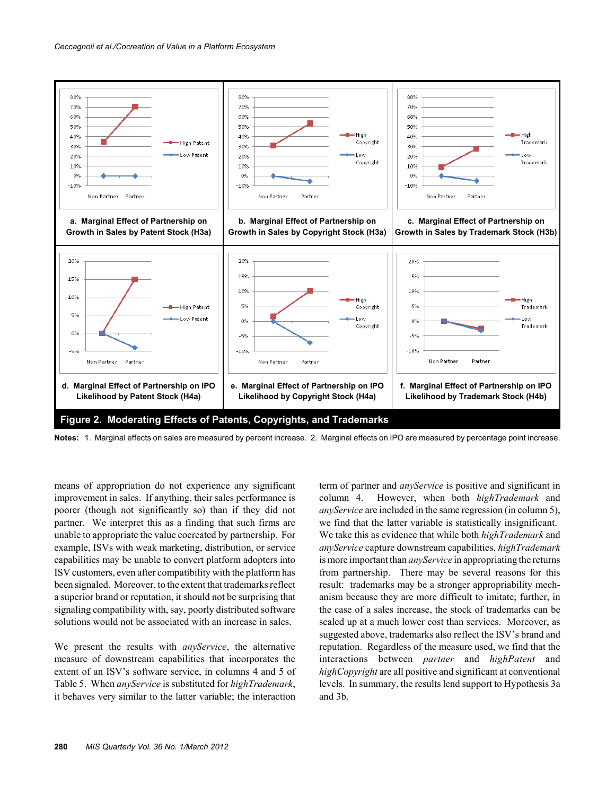

**Notes:** 1. Marginal effects on sales are measured by percent increase. 2. Marginal effects on IPO are measured by percentage point increase.

means of appropriation do not experience any significant improvement in sales. If anything, their sales performance is poorer (though not significantly so) than if they did not partner. We interpret this as a finding that such firms are unable to appropriate the value cocreated by partnership. For example, ISVs with weak marketing, distribution, or service capabilities may be unable to convert platform adopters into ISV customers, even after compatibility with the platform has been signaled. Moreover, to the extent that trademarks reflect a superior brand or reputation, it should not be surprising that signaling compatibility with, say, poorly distributed software solutions would not be associated with an increase in sales.

We present the results with *anyService*, the alternative measure of downstream capabilities that incorporates the extent of an ISV's software service, in columns 4 and 5 of Table 5. When *anyService* is substituted for *highTrademark*, it behaves very similar to the latter variable; the interaction

term of partner and *anyService* is positive and significant in column 4. However, when both *highTrademark* and *anyService* are included in the same regression (in column 5), we find that the latter variable is statistically insignificant. We take this as evidence that while both *highTrademark* and *anyService* capture downstream capabilities, *highTrademark* is more important than *anyService* in appropriating the returns from partnership. There may be several reasons for this result: trademarks may be a stronger appropriability mechanism because they are more difficult to imitate; further, in the case of a sales increase, the stock of trademarks can be scaled up at a much lower cost than services. Moreover, as suggested above, trademarks also reflect the ISV's brand and reputation. Regardless of the measure used, we find that the interactions between *partner* and *highPatent* and *highCopyright* are all positive and significant at conventional levels. In summary, the results lend support to Hypothesis 3a and 3b.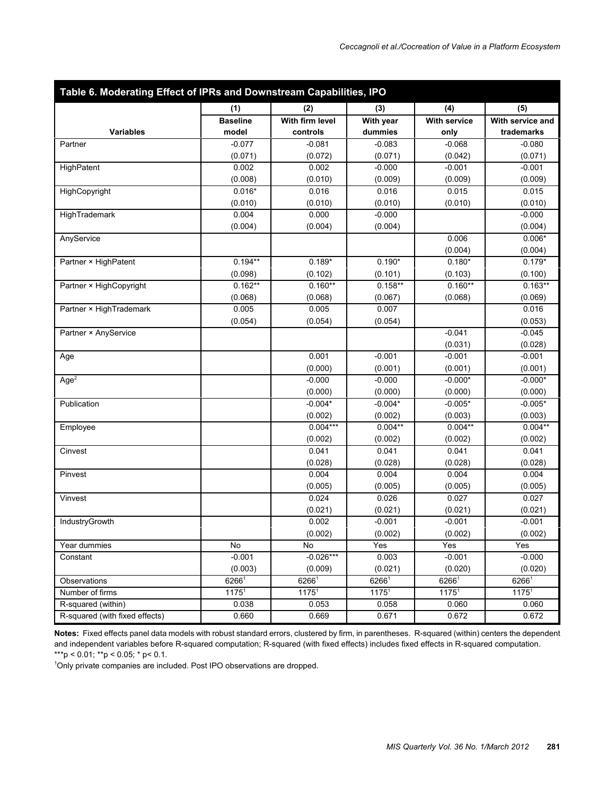| (1)<br>(2)<br>(3)<br>(4)<br><b>Baseline</b><br>With firm level<br>With year<br><b>With service</b><br><b>Variables</b><br>dummies<br>model<br>controls<br>only | (5)<br>With service and<br>trademarks |
|----------------------------------------------------------------------------------------------------------------------------------------------------------------|---------------------------------------|
|                                                                                                                                                                |                                       |
|                                                                                                                                                                |                                       |
|                                                                                                                                                                |                                       |
| $-0.077$<br>$-0.081$<br>$-0.083$<br>$-0.068$<br>Partner                                                                                                        | $-0.080$                              |
| (0.071)<br>(0.072)<br>(0.071)<br>(0.042)                                                                                                                       | (0.071)                               |
| 0.002<br>0.002<br>$-0.000$<br>$-0.001$<br>HighPatent                                                                                                           | $-0.001$                              |
| (0.008)<br>(0.010)<br>(0.009)<br>(0.009)                                                                                                                       | (0.009)                               |
| $0.016*$<br>HighCopyright<br>0.016<br>0.016<br>0.015                                                                                                           | 0.015                                 |
| (0.010)<br>(0.010)<br>(0.010)<br>(0.010)                                                                                                                       | (0.010)                               |
| 0.004<br>HighTrademark<br>0.000<br>$-0.000$                                                                                                                    | $-0.000$                              |
| (0.004)<br>(0.004)<br>(0.004)                                                                                                                                  | (0.004)                               |
| 0.006<br>AnyService                                                                                                                                            | $0.006*$                              |
| (0.004)                                                                                                                                                        | (0.004)                               |
| $0.194**$<br>$0.189*$<br>$0.190*$<br>$0.180*$<br>Partner × HighPatent                                                                                          | $0.179*$                              |
| (0.098)<br>(0.102)<br>(0.101)<br>(0.103)                                                                                                                       | (0.100)                               |
| $0.162**$<br>$0.160**$<br>$0.160**$<br>$0.158**$<br>Partner × HighCopyright                                                                                    | $0.163**$                             |
| (0.068)<br>(0.068)<br>(0.068)<br>(0.067)                                                                                                                       | (0.069)                               |
| Partner × HighTrademark<br>0.005<br>0.007<br>0.005                                                                                                             | 0.016                                 |
| (0.054)<br>(0.054)<br>(0.054)                                                                                                                                  | (0.053)                               |
| $-0.041$<br>Partner × AnyService                                                                                                                               | $-0.045$                              |
| (0.031)                                                                                                                                                        | (0.028)                               |
| 0.001<br>$-0.001$<br>$-0.001$<br>Age                                                                                                                           | $-0.001$                              |
| (0.000)<br>(0.001)<br>(0.001)                                                                                                                                  | (0.001)                               |
| Age <sup>2</sup><br>$-0.000*$<br>$-0.000$<br>$-0.000$                                                                                                          | $-0.000*$                             |
| (0.000)<br>(0.000)<br>(0.000)                                                                                                                                  | (0.000)                               |
| Publication<br>$-0.004*$<br>$-0.004*$<br>$-0.005*$                                                                                                             | $-0.005*$                             |
| (0.002)<br>(0.002)<br>(0.003)<br>$0.004***$                                                                                                                    | (0.003)                               |
| $0.004**$<br>$0.004**$<br>Employee                                                                                                                             | $0.004**$                             |
| (0.002)<br>(0.002)<br>(0.002)<br>0.041<br>Cinvest<br>0.041<br>0.041                                                                                            | (0.002)<br>0.041                      |
| (0.028)<br>(0.028)<br>(0.028)                                                                                                                                  | (0.028)                               |
| 0.004<br>0.004<br>0.004<br>Pinvest                                                                                                                             | 0.004                                 |
| (0.005)<br>(0.005)<br>(0.005)                                                                                                                                  | (0.005)                               |
| 0.027<br>0.024<br>0.026<br>Vinvest                                                                                                                             | 0.027                                 |
| (0.021)<br>(0.021)<br>(0.021)                                                                                                                                  | (0.021)                               |
| IndustryGrowth<br>0.002<br>$-0.001$<br>$-0.001$                                                                                                                | $-0.001$                              |
| (0.002)<br>(0.002)<br>(0.002)                                                                                                                                  | (0.002)                               |
| No<br>Yes<br>Yes<br>Year dummies<br>No                                                                                                                         | Yes                                   |
| $-0.026***$<br>$-0.001$<br>0.003<br>$-0.001$<br>Constant                                                                                                       | $-0.000$                              |
| (0.003)<br>(0.020)<br>(0.009)<br>(0.021)                                                                                                                       | (0.020)                               |
| 62661<br>62661<br>$6266^1$<br>62661<br>Observations                                                                                                            | 62661                                 |
| 1175 <sup>1</sup><br>1175 <sup>1</sup><br>1175 <sup>1</sup><br>1175 <sup>1</sup><br>Number of firms                                                            | $1175^1$                              |
| R-squared (within)<br>0.038<br>0.053<br>0.058<br>0.060                                                                                                         | 0.060                                 |
| R-squared (with fixed effects)<br>0.660<br>0.669<br>0.671<br>0.672                                                                                             | 0.672                                 |

**Notes:** Fixed effects panel data models with robust standard errors, clustered by firm, in parentheses. R-squared (within) centers the dependent and independent variables before R-squared computation; R-squared (with fixed effects) includes fixed effects in R-squared computation. \*\*\*p < 0.01; \*\*p < 0.05; \* p< 0.1.

<sup>1</sup>Only private companies are included. Post IPO observations are dropped.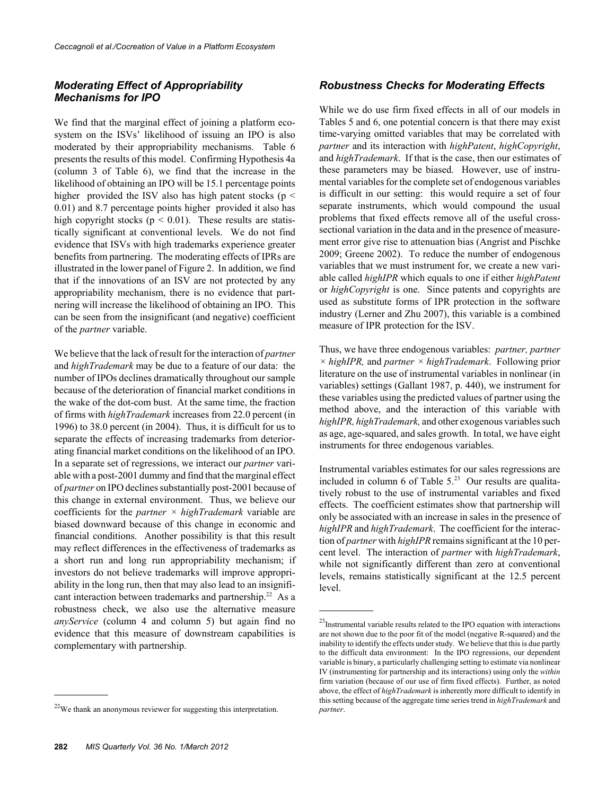#### *Moderating Effect of Appropriability Mechanisms for IPO*

We find that the marginal effect of joining a platform ecosystem on the ISVs' likelihood of issuing an IPO is also moderated by their appropriability mechanisms. Table 6 presents the results of this model. Confirming Hypothesis 4a (column 3 of Table 6), we find that the increase in the likelihood of obtaining an IPO will be 15.1 percentage points higher provided the ISV also has high patent stocks ( $p <$ 0.01) and 8.7 percentage points higher provided it also has high copyright stocks ( $p < 0.01$ ). These results are statistically significant at conventional levels. We do not find evidence that ISVs with high trademarks experience greater benefits from partnering. The moderating effects of IPRs are illustrated in the lower panel of Figure 2. In addition, we find that if the innovations of an ISV are not protected by any appropriability mechanism, there is no evidence that partnering will increase the likelihood of obtaining an IPO. This can be seen from the insignificant (and negative) coefficient of the *partner* variable.

We believe that the lack of result for the interaction of *partner* and *highTrademark* may be due to a feature of our data: the number of IPOs declines dramatically throughout our sample because of the deterioration of financial market conditions in the wake of the dot-com bust. At the same time, the fraction of firms with *highTrademark* increases from 22.0 percent (in 1996) to 38.0 percent (in 2004). Thus, it is difficult for us to separate the effects of increasing trademarks from deteriorating financial market conditions on the likelihood of an IPO. In a separate set of regressions, we interact our *partner* variable with a post-2001 dummy and find that the marginal effect of *partner* on IPO declines substantially post-2001 because of this change in external environment. Thus, we believe our coefficients for the *partner × highTrademark* variable are biased downward because of this change in economic and financial conditions. Another possibility is that this result may reflect differences in the effectiveness of trademarks as a short run and long run appropriability mechanism; if investors do not believe trademarks will improve appropriability in the long run, then that may also lead to an insignificant interaction between trademarks and partnership.<sup>22</sup> As a robustness check, we also use the alternative measure *anyService* (column 4 and column 5) but again find no evidence that this measure of downstream capabilities is complementary with partnership.

#### *Robustness Checks for Moderating Effects*

While we do use firm fixed effects in all of our models in Tables 5 and 6, one potential concern is that there may exist time-varying omitted variables that may be correlated with *partner* and its interaction with *highPatent*, *highCopyright*, and *highTrademark*. If that is the case, then our estimates of these parameters may be biased. However, use of instrumental variables for the complete set of endogenous variables is difficult in our setting: this would require a set of four separate instruments, which would compound the usual problems that fixed effects remove all of the useful crosssectional variation in the data and in the presence of measurement error give rise to attenuation bias (Angrist and Pischke 2009; Greene 2002). To reduce the number of endogenous variables that we must instrument for, we create a new variable called *highIPR* which equals to one if either *highPatent* or *highCopyright* is one. Since patents and copyrights are used as substitute forms of IPR protection in the software industry (Lerner and Zhu 2007), this variable is a combined measure of IPR protection for the ISV.

Thus, we have three endogenous variables: *partner, partner × highIPR,* and *partner × highTrademark*. Following prior literature on the use of instrumental variables in nonlinear (in variables) settings (Gallant 1987, p. 440), we instrument for these variables using the predicted values of partner using the method above, and the interaction of this variable with *highIPR, highTrademark,* and other exogenous variables such as age, age-squared, and sales growth. In total, we have eight instruments for three endogenous variables.

Instrumental variables estimates for our sales regressions are included in column 6 of Table  $5.^{23}$  Our results are qualitatively robust to the use of instrumental variables and fixed effects. The coefficient estimates show that partnership will only be associated with an increase in sales in the presence of *highIPR* and *highTrademark*. The coefficient for the interaction of *partner* with *highIPR* remains significant at the 10 percent level. The interaction of *partner* with *highTrademark*, while not significantly different than zero at conventional levels, remains statistically significant at the 12.5 percent level.

 $22$ We thank an anonymous reviewer for suggesting this interpretation.

 $23$ Instrumental variable results related to the IPO equation with interactions are not shown due to the poor fit of the model (negative R-squared) and the inability to identify the effects under study. We believe that this is due partly to the difficult data environment: In the IPO regressions, our dependent variable is binary, a particularly challenging setting to estimate via nonlinear IV (instrumenting for partnership and its interactions) using only the *within* firm variation (because of our use of firm fixed effects). Further, as noted above, the effect of *highTrademark* is inherently more difficult to identify in this setting because of the aggregate time series trend in *highTrademark* and *partner*.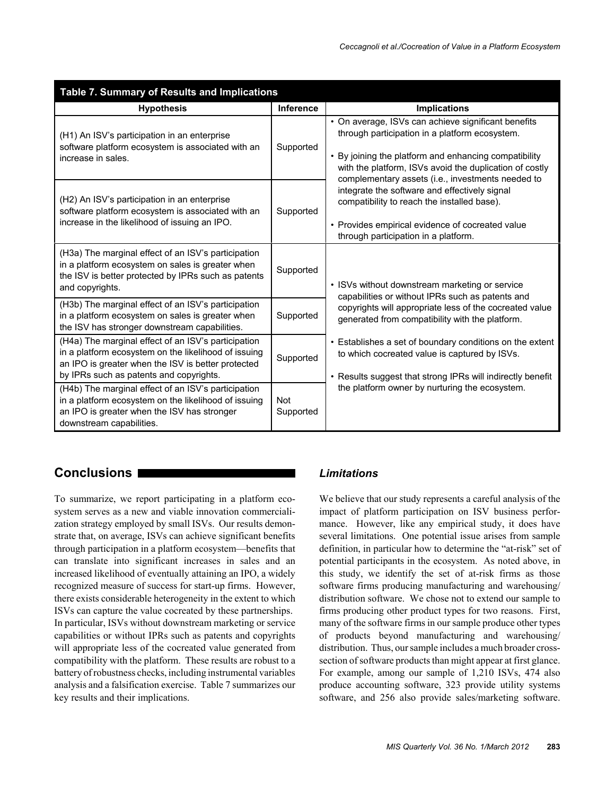| Table 7. Summary of Results and Implications                                                                                                                                                                 |                         |                                                                                                                                                                                                                                                                                |  |  |  |  |
|--------------------------------------------------------------------------------------------------------------------------------------------------------------------------------------------------------------|-------------------------|--------------------------------------------------------------------------------------------------------------------------------------------------------------------------------------------------------------------------------------------------------------------------------|--|--|--|--|
| <b>Hypothesis</b>                                                                                                                                                                                            | Inference               | <b>Implications</b>                                                                                                                                                                                                                                                            |  |  |  |  |
| (H1) An ISV's participation in an enterprise<br>software platform ecosystem is associated with an<br>increase in sales.                                                                                      | Supported               | • On average, ISVs can achieve significant benefits<br>through participation in a platform ecosystem.<br>• By joining the platform and enhancing compatibility<br>with the platform, ISVs avoid the duplication of costly<br>complementary assets (i.e., investments needed to |  |  |  |  |
| (H2) An ISV's participation in an enterprise<br>software platform ecosystem is associated with an<br>increase in the likelihood of issuing an IPO.                                                           | Supported               | integrate the software and effectively signal<br>compatibility to reach the installed base).<br>• Provides empirical evidence of cocreated value<br>through participation in a platform.                                                                                       |  |  |  |  |
| (H3a) The marginal effect of an ISV's participation<br>in a platform ecosystem on sales is greater when<br>the ISV is better protected by IPRs such as patents<br>and copyrights.                            | Supported               | • ISVs without downstream marketing or service<br>capabilities or without IPRs such as patents and                                                                                                                                                                             |  |  |  |  |
| (H3b) The marginal effect of an ISV's participation<br>in a platform ecosystem on sales is greater when<br>the ISV has stronger downstream capabilities.                                                     | Supported               | copyrights will appropriate less of the cocreated value<br>generated from compatibility with the platform.                                                                                                                                                                     |  |  |  |  |
| (H4a) The marginal effect of an ISV's participation<br>in a platform ecosystem on the likelihood of issuing<br>an IPO is greater when the ISV is better protected<br>by IPRs such as patents and copyrights. | Supported               | • Establishes a set of boundary conditions on the extent<br>to which cocreated value is captured by ISVs.<br>• Results suggest that strong IPRs will indirectly benefit                                                                                                        |  |  |  |  |
| (H4b) The marginal effect of an ISV's participation<br>in a platform ecosystem on the likelihood of issuing<br>an IPO is greater when the ISV has stronger<br>downstream capabilities.                       | <b>Not</b><br>Supported | the platform owner by nurturing the ecosystem.                                                                                                                                                                                                                                 |  |  |  |  |

## **Conclusions**

To summarize, we report participating in a platform ecosystem serves as a new and viable innovation commercialization strategy employed by small ISVs. Our results demonstrate that, on average, ISVs can achieve significant benefits through participation in a platform ecosystem—benefits that can translate into significant increases in sales and an increased likelihood of eventually attaining an IPO, a widely recognized measure of success for start-up firms. However, there exists considerable heterogeneity in the extent to which ISVs can capture the value cocreated by these partnerships. In particular, ISVs without downstream marketing or service capabilities or without IPRs such as patents and copyrights will appropriate less of the cocreated value generated from compatibility with the platform. These results are robust to a battery of robustness checks, including instrumental variables analysis and a falsification exercise. Table 7 summarizes our key results and their implications.

## *Limitations*

We believe that our study represents a careful analysis of the impact of platform participation on ISV business performance. However, like any empirical study, it does have several limitations. One potential issue arises from sample definition, in particular how to determine the "at-risk" set of potential participants in the ecosystem. As noted above, in this study, we identify the set of at-risk firms as those software firms producing manufacturing and warehousing/ distribution software. We chose not to extend our sample to firms producing other product types for two reasons. First, many of the software firms in our sample produce other types of products beyond manufacturing and warehousing/ distribution. Thus, our sample includes a much broader crosssection of software products than might appear at first glance. For example, among our sample of 1,210 ISVs, 474 also produce accounting software, 323 provide utility systems software, and 256 also provide sales/marketing software.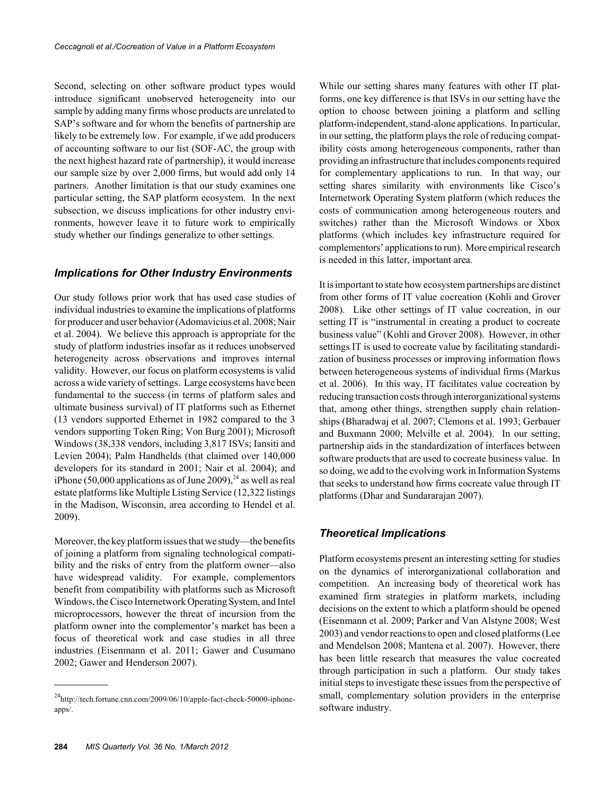Second, selecting on other software product types would introduce significant unobserved heterogeneity into our sample by adding many firms whose products are unrelated to SAP's software and for whom the benefits of partnership are likely to be extremely low. For example, if we add producers of accounting software to our list (SOF-AC, the group with the next highest hazard rate of partnership), it would increase our sample size by over 2,000 firms, but would add only 14 partners. Another limitation is that our study examines one particular setting, the SAP platform ecosystem. In the next subsection, we discuss implications for other industry environments, however leave it to future work to empirically study whether our findings generalize to other settings.

#### *Implications for Other Industry Environments*

Our study follows prior work that has used case studies of individual industries to examine the implications of platforms for producer and user behavior (Adomavicius et al. 2008; Nair et al. 2004). We believe this approach is appropriate for the study of platform industries insofar as it reduces unobserved heterogeneity across observations and improves internal validity. However, our focus on platform ecosystems is valid across a wide variety of settings. Large ecosystems have been fundamental to the success (in terms of platform sales and ultimate business survival) of IT platforms such as Ethernet (13 vendors supported Ethernet in 1982 compared to the 3 vendors supporting Token Ring; Von Burg 2001); Microsoft Windows (38,338 vendors, including 3,817 ISVs; Iansiti and Levien 2004); Palm Handhelds (that claimed over 140,000 developers for its standard in 2001; Nair et al. 2004); and iPhone (50,000 applications as of June 2009),<sup>24</sup> as well as real estate platforms like Multiple Listing Service (12,322 listings in the Madison, Wisconsin, area according to Hendel et al. 2009).

Moreover, the key platform issues that we study—the benefits of joining a platform from signaling technological compatibility and the risks of entry from the platform owner—also have widespread validity. For example, complementors benefit from compatibility with platforms such as Microsoft Windows, the Cisco Internetwork Operating System, and Intel microprocessors, however the threat of incursion from the platform owner into the complementor's market has been a focus of theoretical work and case studies in all three industries (Eisenmann et al. 2011; Gawer and Cusumano 2002; Gawer and Henderson 2007).

While our setting shares many features with other IT platforms, one key difference is that ISVs in our setting have the option to choose between joining a platform and selling platform-independent, stand-alone applications. In particular, in our setting, the platform plays the role of reducing compatibility costs among heterogeneous components, rather than providing an infrastructure that includes components required for complementary applications to run. In that way, our setting shares similarity with environments like Cisco's Internetwork Operating System platform (which reduces the costs of communication among heterogeneous routers and switches) rather than the Microsoft Windows or Xbox platforms (which includes key infrastructure required for complementors' applications to run). More empirical research is needed in this latter, important area.

It is important to state how ecosystem partnerships are distinct from other forms of IT value cocreation (Kohli and Grover 2008). Like other settings of IT value cocreation, in our setting IT is "instrumental in creating a product to cocreate business value" (Kohli and Grover 2008). However, in other settings IT is used to cocreate value by facilitating standardization of business processes or improving information flows between heterogeneous systems of individual firms (Markus et al. 2006). In this way, IT facilitates value cocreation by reducing transaction costs through interorganizational systems that, among other things, strengthen supply chain relationships (Bharadwaj et al. 2007; Clemons et al. 1993; Gerbauer and Buxmann 2000; Melville et al. 2004). In our setting, partnership aids in the standardization of interfaces between software products that are used to cocreate business value. In so doing, we add to the evolving work in Information Systems that seeks to understand how firms cocreate value through IT platforms (Dhar and Sundararajan 2007).

#### *Theoretical Implications*

Platform ecosystems present an interesting setting for studies on the dynamics of interorganizational collaboration and competition. An increasing body of theoretical work has examined firm strategies in platform markets, including decisions on the extent to which a platform should be opened (Eisenmann et al. 2009; Parker and Van Alstyne 2008; West 2003) and vendor reactions to open and closed platforms (Lee and Mendelson 2008; Mantena et al. 2007). However, there has been little research that measures the value cocreated through participation in such a platform. Our study takes initial steps to investigate these issues from the perspective of small, complementary solution providers in the enterprise software industry.

<sup>24</sup>http://tech.fortune.cnn.com/2009/06/10/apple-fact-check-50000-iphoneapps/.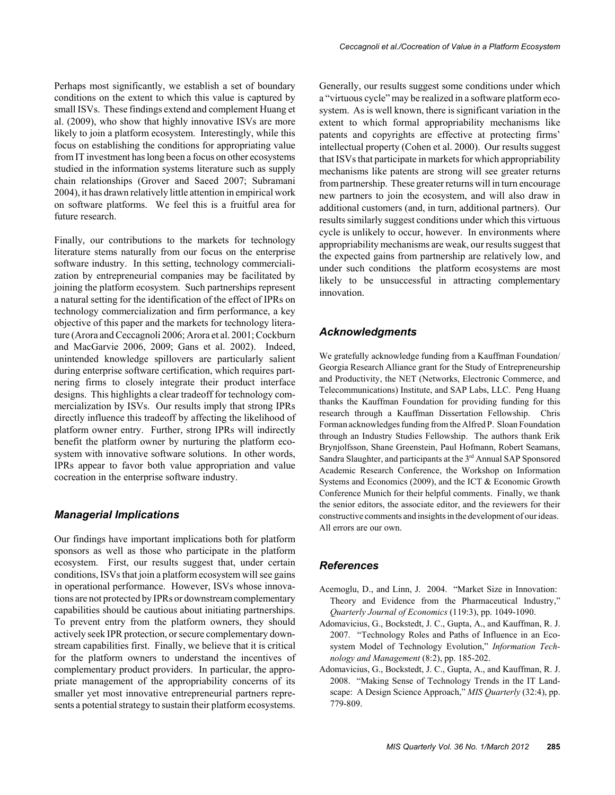Perhaps most significantly, we establish a set of boundary conditions on the extent to which this value is captured by small ISVs. These findings extend and complement Huang et al. (2009), who show that highly innovative ISVs are more likely to join a platform ecosystem. Interestingly, while this focus on establishing the conditions for appropriating value from IT investment has long been a focus on other ecosystems studied in the information systems literature such as supply chain relationships (Grover and Saeed 2007; Subramani 2004), it has drawn relatively little attention in empirical work on software platforms. We feel this is a fruitful area for future research.

Finally, our contributions to the markets for technology literature stems naturally from our focus on the enterprise software industry. In this setting, technology commercialization by entrepreneurial companies may be facilitated by joining the platform ecosystem. Such partnerships represent a natural setting for the identification of the effect of IPRs on technology commercialization and firm performance, a key objective of this paper and the markets for technology literature (Arora and Ceccagnoli 2006; Arora et al. 2001; Cockburn and MacGarvie 2006, 2009; Gans et al. 2002). Indeed, unintended knowledge spillovers are particularly salient during enterprise software certification, which requires partnering firms to closely integrate their product interface designs. This highlights a clear tradeoff for technology commercialization by ISVs. Our results imply that strong IPRs directly influence this tradeoff by affecting the likelihood of platform owner entry. Further, strong IPRs will indirectly benefit the platform owner by nurturing the platform ecosystem with innovative software solutions. In other words, IPRs appear to favor both value appropriation and value cocreation in the enterprise software industry.

#### *Managerial Implications*

Our findings have important implications both for platform sponsors as well as those who participate in the platform ecosystem. First, our results suggest that, under certain conditions, ISVs that join a platform ecosystem will see gains in operational performance. However, ISVs whose innovations are not protected by IPRs or downstream complementary capabilities should be cautious about initiating partnerships. To prevent entry from the platform owners, they should actively seek IPR protection, or secure complementary downstream capabilities first. Finally, we believe that it is critical for the platform owners to understand the incentives of complementary product providers. In particular, the appropriate management of the appropriability concerns of its smaller yet most innovative entrepreneurial partners represents a potential strategy to sustain their platform ecosystems.

Generally, our results suggest some conditions under which a "virtuous cycle" may be realized in a software platform ecosystem. As is well known, there is significant variation in the extent to which formal appropriability mechanisms like patents and copyrights are effective at protecting firms' intellectual property (Cohen et al. 2000). Our results suggest that ISVs that participate in markets for which appropriability mechanisms like patents are strong will see greater returns from partnership. These greater returns will in turn encourage new partners to join the ecosystem, and will also draw in additional customers (and, in turn, additional partners). Our results similarly suggest conditions under which this virtuous cycle is unlikely to occur, however. In environments where appropriability mechanisms are weak, our results suggest that the expected gains from partnership are relatively low, and under such conditions the platform ecosystems are most likely to be unsuccessful in attracting complementary innovation.

#### *Acknowledgments*

We gratefully acknowledge funding from a Kauffman Foundation/ Georgia Research Alliance grant for the Study of Entrepreneurship and Productivity, the NET (Networks, Electronic Commerce, and Telecommunications) Institute, and SAP Labs, LLC. Peng Huang thanks the Kauffman Foundation for providing funding for this research through a Kauffman Dissertation Fellowship. Chris Forman acknowledges funding from the Alfred P. Sloan Foundation through an Industry Studies Fellowship. The authors thank Erik Brynjolfsson, Shane Greenstein, Paul Hofmann, Robert Seamans, Sandra Slaughter, and participants at the 3<sup>rd</sup> Annual SAP Sponsored Academic Research Conference, the Workshop on Information Systems and Economics (2009), and the ICT & Economic Growth Conference Munich for their helpful comments. Finally, we thank the senior editors, the associate editor, and the reviewers for their constructive comments and insights in the development of our ideas. All errors are our own.

#### *References*

- Acemoglu, D., and Linn, J. 2004. "Market Size in Innovation: Theory and Evidence from the Pharmaceutical Industry," *Quarterly Journal of Economics* (119:3), pp. 1049-1090.
- Adomavicius, G., Bockstedt, J. C., Gupta, A., and Kauffman, R. J. 2007. "Technology Roles and Paths of Influence in an Ecosystem Model of Technology Evolution," *Information Technology and Management* (8:2), pp. 185-202.
- Adomavicius, G., Bockstedt, J. C., Gupta, A., and Kauffman, R. J. 2008. "Making Sense of Technology Trends in the IT Landscape: A Design Science Approach," *MIS Quarterly* (32:4), pp. 779-809.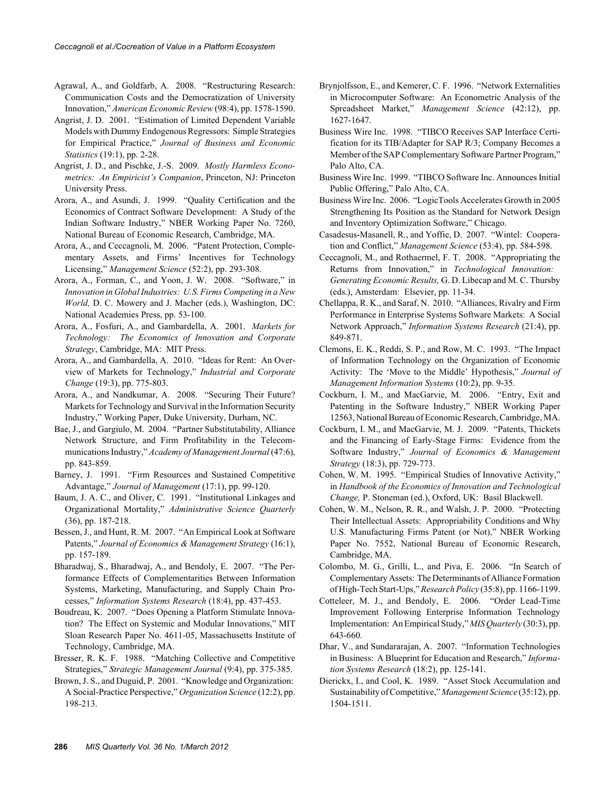- Agrawal, A., and Goldfarb, A. 2008. "Restructuring Research: Communication Costs and the Democratization of University Innovation," *American Economic Review* (98:4), pp. 1578-1590.
- Angrist, J. D. 2001. "Estimation of Limited Dependent Variable Models with Dummy Endogenous Regressors: Simple Strategies for Empirical Practice," *Journal of Business and Economic Statistics* (19:1), pp. 2-28.
- Angrist, J. D., and Pischke, J.-S. 2009. *Mostly Harmless Econometrics: An Empiricist's Companion*, Princeton, NJ: Princeton University Press.
- Arora, A., and Asundi, J. 1999. "Quality Certification and the Economics of Contract Software Development: A Study of the Indian Software Industry," NBER Working Paper No. 7260, National Bureau of Economic Research, Cambridge, MA.
- Arora, A., and Ceccagnoli, M. 2006. "Patent Protection, Complementary Assets, and Firms' Incentives for Technology Licensing," *Management Science* (52:2), pp. 293-308.
- Arora, A., Forman, C., and Yoon, J. W. 2008. "Software," in *Innovation in Global Industries: U.S. Firms Competing in a New World,* D. C. Mowery and J. Macher (eds.), Washington, DC: National Academies Press, pp. 53-100.
- Arora, A., Fosfuri, A., and Gambardella, A. 2001. *Markets for Technology: The Economics of Innovation and Corporate Strategy*, Cambridge, MA: MIT Press.
- Arora, A., and Gambardella, A. 2010. "Ideas for Rent: An Overview of Markets for Technology," *Industrial and Corporate Change* (19:3), pp. 775-803.
- Arora, A., and Nandkumar, A. 2008. "Securing Their Future? Markets for Technology and Survival in the Information Security Industry," Working Paper, Duke University, Durham, NC.
- Bae, J., and Gargiulo, M. 2004. "Partner Substitutability, Alliance Network Structure, and Firm Profitability in the Telecommunications Industry," *Academy of Management Journal* (47:6), pp. 843-859.
- Barney, J. 1991. "Firm Resources and Sustained Competitive Advantage," *Journal of Management* (17:1), pp. 99-120.
- Baum, J. A. C., and Oliver, C. 1991. "Institutional Linkages and Organizational Mortality," *Administrative Science Quarterly* (36), pp. 187-218.
- Bessen, J., and Hunt, R. M. 2007. "An Empirical Look at Software Patents," *Journal of Economics & Management Strategy* (16:1), pp. 157-189.
- Bharadwaj, S., Bharadwaj, A., and Bendoly, E. 2007. "The Performance Effects of Complementarities Between Information Systems, Marketing, Manufacturing, and Supply Chain Processes," *Information Systems Research* (18:4), pp. 437-453.
- Boudreau, K. 2007. "Does Opening a Platform Stimulate Innovation? The Effect on Systemic and Modular Innovations," MIT Sloan Research Paper No. 4611-05, Massachusetts Institute of Technology, Cambridge, MA.
- Bresser, R. K. F. 1988. "Matching Collective and Competitive Strategies," *Strategic Management Journal* (9:4), pp. 375-385.
- Brown, J. S., and Duguid, P. 2001. "Knowledge and Organization: A Social-Practice Perspective," *Organization Science* (12:2), pp. 198-213.
- Brynjolfsson, E., and Kemerer, C. F. 1996. "Network Externalities in Microcomputer Software: An Econometric Analysis of the Spreadsheet Market," *Management Science* (42:12), pp. 1627-1647.
- Business Wire Inc. 1998. "TIBCO Receives SAP Interface Certification for its TIB/Adapter for SAP R/3; Company Becomes a Member of the SAP Complementary Software Partner Program," Palo Alto, CA.
- Business Wire Inc. 1999. "TIBCO Software Inc. Announces Initial Public Offering," Palo Alto, CA.
- Business Wire Inc. 2006. "LogicTools Accelerates Growth in 2005 Strengthening Its Position as the Standard for Network Design and Inventory Optimization Software," Chicago.
- Casadesus-Masanell, R., and Yoffie, D. 2007. "Wintel: Cooperation and Conflict," *Management Science* (53:4), pp. 584-598.
- Ceccagnoli, M., and Rothaermel, F. T. 2008. "Appropriating the Returns from Innovation," in *Technological Innovation: Generating Economic Results,* G. D. Libecap and M. C. Thursby (eds.), Amsterdam: Elsevier, pp. 11-34.
- Chellappa, R. K., and Saraf, N. 2010. "Alliances, Rivalry and Firm Performance in Enterprise Systems Software Markets: A Social Network Approach," *Information Systems Research* (21:4), pp. 849-871.
- Clemons, E. K., Reddi, S. P., and Row, M. C. 1993. "The Impact of Information Technology on the Organization of Economic Activity: The 'Move to the Middle' Hypothesis," *Journal of Management Information Systems* (10:2), pp. 9-35.
- Cockburn, I. M., and MacGarvie, M. 2006. "Entry, Exit and Patenting in the Software Industry," NBER Working Paper 12563, National Bureau of Economic Research, Cambridge, MA.
- Cockburn, I. M., and MacGarvie, M. J. 2009. "Patents, Thickets and the Financing of Early-Stage Firms: Evidence from the Software Industry," *Journal of Economics & Management Strategy* (18:3), pp. 729-773.
- Cohen, W. M. 1995. "Empirical Studies of Innovative Activity," in *Handbook of the Economics of Innovation and Technological Change,* P. Stoneman (ed.), Oxford, UK: Basil Blackwell.
- Cohen, W. M., Nelson, R. R., and Walsh, J. P. 2000. "Protecting Their Intellectual Assets: Appropriability Conditions and Why U.S. Manufacturing Firms Patent (or Not)," NBER Working Paper No. 7552, National Bureau of Economic Research, Cambridge, MA.
- Colombo, M. G., Grilli, L., and Piva, E. 2006. "In Search of Complementary Assets: The Determinants of Alliance Formation of High-Tech Start-Ups," *Research Policy* (35:8), pp. 1166-1199.
- Cotteleer, M. J., and Bendoly, E. 2006. "Order Lead-Time Improvement Following Enterprise Information Technology Implementation: An Empirical Study," *MIS Quarterly* (30:3), pp. 643-660.
- Dhar, V., and Sundararajan, A. 2007. "Information Technologies in Business: A Blueprint for Education and Research," *Information Systems Research* (18:2), pp. 125-141.
- Dierickx, I., and Cool, K. 1989. "Asset Stock Accumulation and Sustainability of Competitive," *Management Science* (35:12), pp. 1504-1511.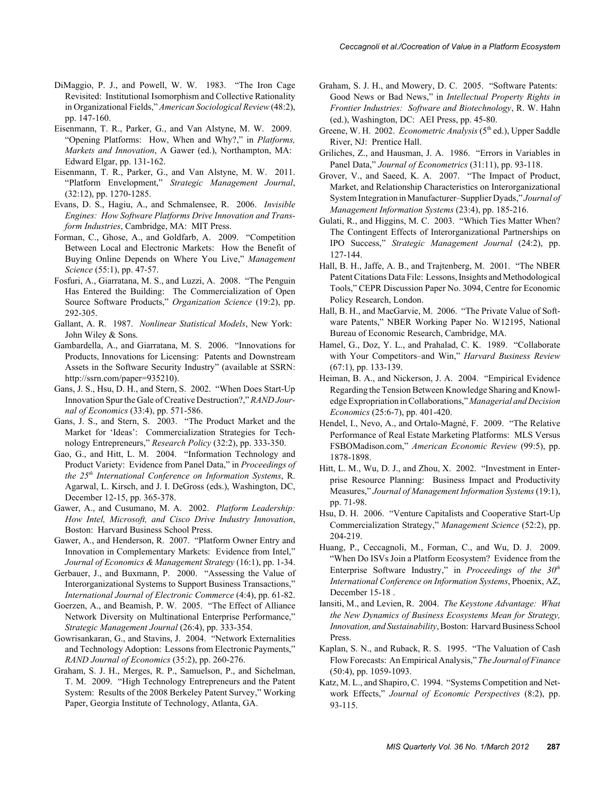- DiMaggio, P. J., and Powell, W. W. 1983. "The Iron Cage Revisited: Institutional Isomorphism and Collective Rationality in Organizational Fields," *American Sociological Review* (48:2), pp. 147-160.
- Eisenmann, T. R., Parker, G., and Van Alstyne, M. W. 2009. "Opening Platforms: How, When and Why?," in *Platforms, Markets and Innovation*, A Gawer (ed.), Northampton, MA: Edward Elgar, pp. 131-162.
- Eisenmann, T. R., Parker, G., and Van Alstyne, M. W. 2011. "Platform Envelopment," *Strategic Management Journal*, (32:12), pp. 1270-1285.
- Evans, D. S., Hagiu, A., and Schmalensee, R. 2006. *Invisible Engines: How Software Platforms Drive Innovation and Transform Industries*, Cambridge, MA: MIT Press.
- Forman, C., Ghose, A., and Goldfarb, A. 2009. "Competition Between Local and Electronic Markets: How the Benefit of Buying Online Depends on Where You Live," *Management Science* (55:1), pp. 47-57.
- Fosfuri, A., Giarratana, M. S., and Luzzi, A. 2008. "The Penguin Has Entered the Building: The Commercialization of Open Source Software Products," *Organization Science* (19:2), pp. 292-305.
- Gallant, A. R. 1987. *Nonlinear Statistical Models*, New York: John Wiley & Sons.
- Gambardella, A., and Giarratana, M. S. 2006. "Innovations for Products, Innovations for Licensing: Patents and Downstream Assets in the Software Security Industry" (available at SSRN: http://ssrn.com/paper=935210).
- Gans, J. S., Hsu, D. H., and Stern, S. 2002. "When Does Start-Up Innovation Spur the Gale of Creative Destruction?," *RAND Journal of Economics* (33:4), pp. 571-586.
- Gans, J. S., and Stern, S. 2003. "The Product Market and the Market for 'Ideas': Commercialization Strategies for Technology Entrepreneurs," *Research Policy* (32:2), pp. 333-350.
- Gao, G., and Hitt, L. M. 2004. "Information Technology and Product Variety: Evidence from Panel Data," in *Proceedings of the 25th International Conference on Information Systems*, R. Agarwal, L. Kirsch, and J. I. DeGross (eds.), Washington, DC, December 12-15, pp. 365-378.
- Gawer, A., and Cusumano, M. A. 2002. *Platform Leadership: How Intel, Microsoft, and Cisco Drive Industry Innovation*, Boston: Harvard Business School Press.
- Gawer, A., and Henderson, R. 2007. "Platform Owner Entry and Innovation in Complementary Markets: Evidence from Intel," *Journal of Economics & Management Strategy* (16:1), pp. 1-34.
- Gerbauer, J., and Buxmann, P. 2000. "Assessing the Value of Interorganizational Systems to Support Business Transactions," *International Journal of Electronic Commerce* (4:4), pp. 61-82.
- Goerzen, A., and Beamish, P. W. 2005. "The Effect of Alliance Network Diversity on Multinational Enterprise Performance," *Strategic Management Journal* (26:4), pp. 333-354.
- Gowrisankaran, G., and Stavins, J. 2004. "Network Externalities and Technology Adoption: Lessons from Electronic Payments," *RAND Journal of Economics* (35:2), pp. 260-276.
- Graham, S. J. H., Merges, R. P., Samuelson, P., and Sichelman, T. M. 2009. "High Technology Entrepreneurs and the Patent System: Results of the 2008 Berkeley Patent Survey," Working Paper, Georgia Institute of Technology, Atlanta, GA.
- Graham, S. J. H., and Mowery, D. C. 2005. "Software Patents: Good News or Bad News," in *Intellectual Property Rights in Frontier Industries: Software and Biotechnology*, R. W. Hahn (ed.), Washington, DC: AEI Press, pp. 45-80.
- Greene, W. H. 2002. *Econometric Analysis* (5<sup>th</sup> ed.), Upper Saddle River, NJ: Prentice Hall.
- Griliches, Z., and Hausman, J. A. 1986. "Errors in Variables in Panel Data," *Journal of Econometrics* (31:11), pp. 93-118.
- Grover, V., and Saeed, K. A. 2007. "The Impact of Product, Market, and Relationship Characteristics on Interorganizational System Integration in Manufacturer–Supplier Dyads," *Journal of Management Information Systems* (23:4), pp. 185-216.
- Gulati, R., and Higgins, M. C. 2003. "Which Ties Matter When? The Contingent Effects of Interorganizational Partnerships on IPO Success," *Strategic Management Journal* (24:2), pp. 127-144.
- Hall, B. H., Jaffe, A. B., and Trajtenberg, M. 2001. "The NBER Patent Citations Data File: Lessons, Insights and Methodological Tools," CEPR Discussion Paper No. 3094, Centre for Economic Policy Research, London.
- Hall, B. H., and MacGarvie, M. 2006. "The Private Value of Software Patents," NBER Working Paper No. W12195, National Bureau of Economic Research, Cambridge, MA.
- Hamel, G., Doz, Y. L., and Prahalad, C. K. 1989. "Collaborate with Your Competitors–and Win," *Harvard Business Review* (67:1), pp. 133-139.
- Heiman, B. A., and Nickerson, J. A. 2004. "Empirical Evidence Regarding the Tension Between Knowledge Sharing and Knowledge Expropriation in Collaborations," *Managerial and Decision Economics* (25:6-7), pp. 401-420.
- Hendel, I., Nevo, A., and Ortalo-Magné, F. 2009. "The Relative Performance of Real Estate Marketing Platforms: MLS Versus FSBOMadison.com," *American Economic Review* (99:5), pp. 1878-1898.
- Hitt, L. M., Wu, D. J., and Zhou, X. 2002. "Investment in Enterprise Resource Planning: Business Impact and Productivity Measures," *Journal of Management Information Systems* (19:1), pp. 71-98.
- Hsu, D. H. 2006. "Venture Capitalists and Cooperative Start-Up Commercialization Strategy," *Management Science* (52:2), pp. 204-219.
- Huang, P., Ceccagnoli, M., Forman, C., and Wu, D. J. 2009. "When Do ISVs Join a Platform Ecosystem? Evidence from the Enterprise Software Industry," in *Proceedings of the 30<sup>th</sup> International Conference on Information Systems*, Phoenix, AZ, December 15-18
- Iansiti, M., and Levien, R. 2004. *The Keystone Advantage: What the New Dynamics of Business Ecosystems Mean for Strategy, Innovation, and Sustainability*, Boston: Harvard Business School Press.
- Kaplan, S. N., and Ruback, R. S. 1995. "The Valuation of Cash Flow Forecasts: An Empirical Analysis," *The Journal of Finance* (50:4), pp. 1059-1093.
- Katz, M. L., and Shapiro, C. 1994. "Systems Competition and Network Effects," *Journal of Economic Perspectives* (8:2), pp. 93-115.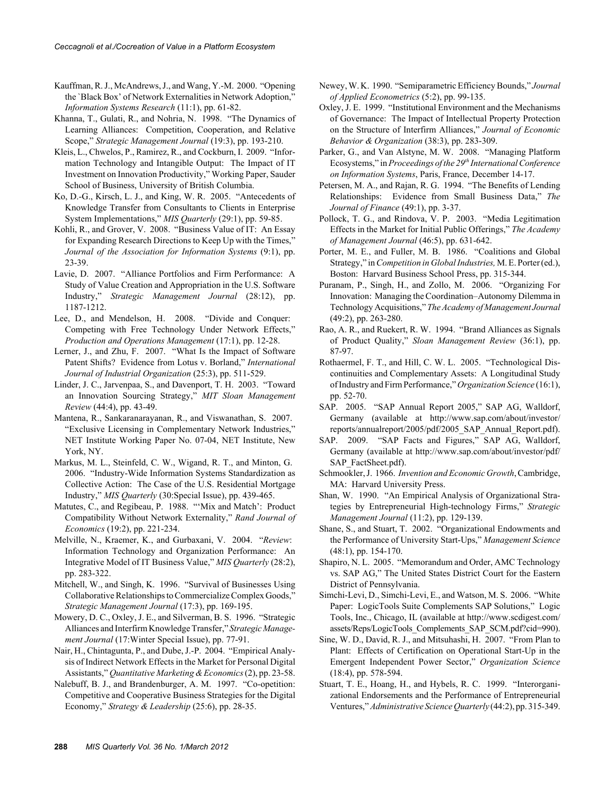- Kauffman, R. J., McAndrews, J., and Wang, Y.-M. 2000. "Opening the `Black Box' of Network Externalities in Network Adoption," *Information Systems Research* (11:1), pp. 61-82.
- Khanna, T., Gulati, R., and Nohria, N. 1998. "The Dynamics of Learning Alliances: Competition, Cooperation, and Relative Scope," *Strategic Management Journal* (19:3), pp. 193-210.
- Kleis, L., Chwelos, P., Ramirez, R., and Cockburn, I. 2009. "Information Technology and Intangible Output: The Impact of IT Investment on Innovation Productivity," Working Paper, Sauder School of Business, University of British Columbia.
- Ko, D.-G., Kirsch, L. J., and King, W. R. 2005. "Antecedents of Knowledge Transfer from Consultants to Clients in Enterprise System Implementations," *MIS Quarterly* (29:1), pp. 59-85.
- Kohli, R., and Grover, V. 2008. "Business Value of IT: An Essay for Expanding Research Directions to Keep Up with the Times," *Journal of the Association for Information Systems* (9:1), pp. 23-39.
- Lavie, D. 2007. "Alliance Portfolios and Firm Performance: A Study of Value Creation and Appropriation in the U.S. Software Industry," *Strategic Management Journal* (28:12), pp. 1187-1212.
- Lee, D., and Mendelson, H. 2008. "Divide and Conquer: Competing with Free Technology Under Network Effects," *Production and Operations Management* (17:1), pp. 12-28.
- Lerner, J., and Zhu, F. 2007. "What Is the Impact of Software Patent Shifts? Evidence from Lotus v. Borland," *International Journal of Industrial Organization* (25:3), pp. 511-529.
- Linder, J. C., Jarvenpaa, S., and Davenport, T. H. 2003. "Toward an Innovation Sourcing Strategy," *MIT Sloan Management Review* (44:4), pp. 43-49.
- Mantena, R., Sankaranarayanan, R., and Viswanathan, S. 2007. "Exclusive Licensing in Complementary Network Industries," NET Institute Working Paper No. 07-04, NET Institute, New York, NY.
- Markus, M. L., Steinfeld, C. W., Wigand, R. T., and Minton, G. 2006. "Industry-Wide Information Systems Standardization as Collective Action: The Case of the U.S. Residential Mortgage Industry," *MIS Quarterly* (30:Special Issue), pp. 439-465.
- Matutes, C., and Regibeau, P. 1988. "'Mix and Match': Product Compatibility Without Network Externality," *Rand Journal of Economics* (19:2), pp. 221-234.
- Melville, N., Kraemer, K., and Gurbaxani, V. 2004. "*Review*: Information Technology and Organization Performance: An Integrative Model of IT Business Value," *MIS Quarterly* (28:2), pp. 283-322.
- Mitchell, W., and Singh, K. 1996. "Survival of Businesses Using Collaborative Relationships to Commercialize Complex Goods," *Strategic Management Journal* (17:3), pp. 169-195.
- Mowery, D. C., Oxley, J. E., and Silverman, B. S. 1996. "Strategic Alliances and Interfirm Knowledge Transfer," *Strategic Management Journal* (17:Winter Special Issue), pp. 77-91.
- Nair, H., Chintagunta, P., and Dube, J.-P. 2004. "Empirical Analysis of Indirect Network Effects in the Market for Personal Digital Assistants," *Quantitative Marketing & Economics* (2), pp. 23-58.
- Nalebuff, B. J., and Brandenburger, A. M. 1997. "Co-opetition: Competitive and Cooperative Business Strategies for the Digital Economy," *Strategy & Leadership* (25:6), pp. 28-35.
- Newey, W. K. 1990. "Semiparametric Efficiency Bounds," *Journal of Applied Econometrics* (5:2), pp. 99-135.
- Oxley, J. E. 1999. "Institutional Environment and the Mechanisms of Governance: The Impact of Intellectual Property Protection on the Structure of Interfirm Alliances," *Journal of Economic Behavior & Organization* (38:3), pp. 283-309.
- Parker, G., and Van Alstyne, M. W. 2008. "Managing Platform Ecosystems," in *Proceedings of the 29<sup>th</sup> International Conference on Information Systems*, Paris, France, December 14-17.
- Petersen, M. A., and Rajan, R. G. 1994. "The Benefits of Lending Relationships: Evidence from Small Business Data," *The Journal of Finance* (49:1), pp. 3-37.
- Pollock, T. G., and Rindova, V. P. 2003. "Media Legitimation Effects in the Market for Initial Public Offerings," *The Academy of Management Journal* (46:5), pp. 631-642.
- Porter, M. E., and Fuller, M. B. 1986. "Coalitions and Global Strategy," in *Competition in Global Industries,* M. E. Porter (ed.), Boston: Harvard Business School Press, pp. 315-344.
- Puranam, P., Singh, H., and Zollo, M. 2006. "Organizing For Innovation: Managing the Coordination–Autonomy Dilemma in Technology Acquisitions," *The Academy of Management Journal* (49:2), pp. 263-280.
- Rao, A. R., and Ruekert, R. W. 1994. "Brand Alliances as Signals of Product Quality," *Sloan Management Review* (36:1), pp. 87-97.
- Rothaermel, F. T., and Hill, C. W. L. 2005. "Technological Discontinuities and Complementary Assets: A Longitudinal Study of Industry and Firm Performance," *Organization Science* (16:1), pp. 52-70.
- SAP. 2005. "SAP Annual Report 2005," SAP AG, Walldorf, Germany (available at http://www.sap.com/about/investor/ reports/annualreport/2005/pdf/2005\_SAP\_Annual\_Report.pdf).
- SAP. 2009. "SAP Facts and Figures," SAP AG, Walldorf, Germany (available at http://www.sap.com/about/investor/pdf/ SAP\_FactSheet.pdf).
- Schmookler, J. 1966. *Invention and Economic Growth*, Cambridge, MA: Harvard University Press.
- Shan, W. 1990. "An Empirical Analysis of Organizational Strategies by Entrepreneurial High-technology Firms," *Strategic Management Journal* (11:2), pp. 129-139.
- Shane, S., and Stuart, T. 2002. "Organizational Endowments and the Performance of University Start-Ups," *Management Science* (48:1), pp. 154-170.
- Shapiro, N. L. 2005. "Memorandum and Order, AMC Technology vs. SAP AG," The United States District Court for the Eastern District of Pennsylvania.
- Simchi-Levi, D., Simchi-Levi, E., and Watson, M. S. 2006. "White Paper: LogicTools Suite Complements SAP Solutions," Logic Tools, Inc., Chicago, IL (available at http://www.scdigest.com/ assets/Reps/LogicTools\_Complements\_SAP\_SCM.pdf?cid=990).
- Sine, W. D., David, R. J., and Mitsuhashi, H. 2007. "From Plan to Plant: Effects of Certification on Operational Start-Up in the Emergent Independent Power Sector," *Organization Science* (18:4), pp. 578-594.
- Stuart, T. E., Hoang, H., and Hybels, R. C. 1999. "Interorganizational Endorsements and the Performance of Entrepreneurial Ventures," *Administrative Science Quarterly* (44:2), pp. 315-349.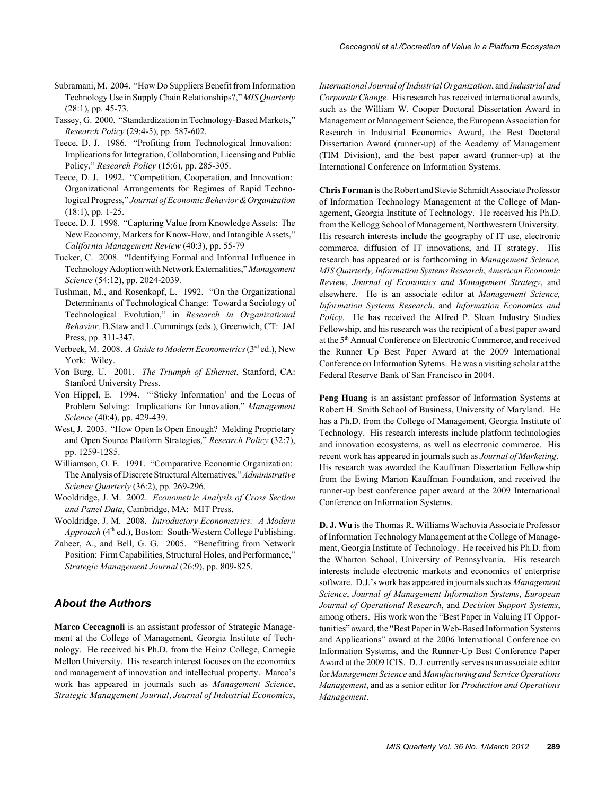- Subramani, M. 2004. "How Do Suppliers Benefit from Information Technology Use in Supply Chain Relationships?," *MIS Quarterly* (28:1), pp. 45-73.
- Tassey, G. 2000. "Standardization in Technology-Based Markets," *Research Policy* (29:4-5), pp. 587-602.
- Teece, D. J. 1986. "Profiting from Technological Innovation: Implications for Integration, Collaboration, Licensing and Public Policy," *Research Policy* (15:6), pp. 285-305.
- Teece, D. J. 1992. "Competition, Cooperation, and Innovation: Organizational Arrangements for Regimes of Rapid Technological Progress," *Journal of Economic Behavior & Organization* (18:1), pp. 1-25.
- Teece, D. J. 1998. "Capturing Value from Knowledge Assets: The New Economy, Markets for Know-How, and Intangible Assets," *California Management Review* (40:3), pp. 55-79
- Tucker, C. 2008. "Identifying Formal and Informal Influence in Technology Adoption with Network Externalities," *Management Science* (54:12), pp. 2024-2039.
- Tushman, M., and Rosenkopf, L. 1992. "On the Organizational Determinants of Technological Change: Toward a Sociology of Technological Evolution," in *Research in Organizational Behavior,* B.Staw and L.Cummings (eds.), Greenwich, CT: JAI Press, pp. 311-347.
- Verbeek, M. 2008. *A Guide to Modern Econometrics* (3rd ed.), New York: Wiley.
- Von Burg, U. 2001. *The Triumph of Ethernet*, Stanford, CA: Stanford University Press.
- Von Hippel, E. 1994. "'Sticky Information' and the Locus of Problem Solving: Implications for Innovation," *Management Science* (40:4), pp. 429-439.
- West, J. 2003. "How Open Is Open Enough? Melding Proprietary and Open Source Platform Strategies," *Research Policy* (32:7), pp. 1259-1285.
- Williamson, O. E. 1991. "Comparative Economic Organization: The Analysis of Discrete Structural Alternatives," *Administrative Science Quarterly* (36:2), pp. 269-296.
- Wooldridge, J. M. 2002. *Econometric Analysis of Cross Section and Panel Data*, Cambridge, MA: MIT Press.
- Wooldridge, J. M. 2008. *Introductory Econometrics: A Modern Approach* (4<sup>th</sup> ed.), Boston: South-Western College Publishing.
- Zaheer, A., and Bell, G. G. 2005. "Benefitting from Network Position: Firm Capabilities, Structural Holes, and Performance," *Strategic Management Journal* (26:9), pp. 809-825.

#### *About the Authors*

**Marco Ceccagnoli** is an assistant professor of Strategic Management at the College of Management, Georgia Institute of Technology. He received his Ph.D. from the Heinz College, Carnegie Mellon University. His research interest focuses on the economics and management of innovation and intellectual property. Marco's work has appeared in journals such as *Management Science*, *Strategic Management Journal*, *Journal of Industrial Economics*, *International Journal of Industrial Organization*, and *Industrial and Corporate Change*. His research has received international awards, such as the William W. Cooper Doctoral Dissertation Award in Management or Management Science, the European Association for Research in Industrial Economics Award, the Best Doctoral Dissertation Award (runner-up) of the Academy of Management (TIM Division), and the best paper award (runner-up) at the International Conference on Information Systems.

**Chris Forman** is the Robert and Stevie Schmidt Associate Professor of Information Technology Management at the College of Management, Georgia Institute of Technology. He received his Ph.D. from the Kellogg School of Management, Northwestern University. His research interests include the geography of IT use, electronic commerce, diffusion of IT innovations, and IT strategy. His research has appeared or is forthcoming in *Management Science, MIS Quarterly, Information Systems Research*, *American Economic Review*, *Journal of Economics and Management Strategy*, and elsewhere. He is an associate editor at *Management Science, Information Systems Research*, and *Information Economics and Policy*. He has received the Alfred P. Sloan Industry Studies Fellowship, and his research was the recipient of a best paper award at the 5<sup>th</sup> Annual Conference on Electronic Commerce, and received the Runner Up Best Paper Award at the 2009 International Conference on Information Sytems. He was a visiting scholar at the Federal Reserve Bank of San Francisco in 2004.

**Peng Huang** is an assistant professor of Information Systems at Robert H. Smith School of Business, University of Maryland. He has a Ph.D. from the College of Management, Georgia Institute of Technology. His research interests include platform technologies and innovation ecosystems, as well as electronic commerce. His recent work has appeared in journals such as *Journal of Marketing*. His research was awarded the Kauffman Dissertation Fellowship from the Ewing Marion Kauffman Foundation, and received the runner-up best conference paper award at the 2009 International Conference on Information Systems.

**D. J. Wu** is the Thomas R. Williams Wachovia Associate Professor of Information Technology Management at the College of Management, Georgia Institute of Technology. He received his Ph.D. from the Wharton School, University of Pennsylvania. His research interests include electronic markets and economics of enterprise software. D.J.'s work has appeared in journals such as *Management Science*, *Journal of Management Information Systems*, *European Journal of Operational Research*, and *Decision Support Systems*, among others. His work won the "Best Paper in Valuing IT Opportunities" award, the "Best Paper in Web-Based Information Systems and Applications" award at the 2006 International Conference on Information Systems, and the Runner-Up Best Conference Paper Award at the 2009 ICIS. D. J. currently serves as an associate editor for *Management Science* and *Manufacturing and Service Operations Management*, and as a senior editor for *Production and Operations Management*.